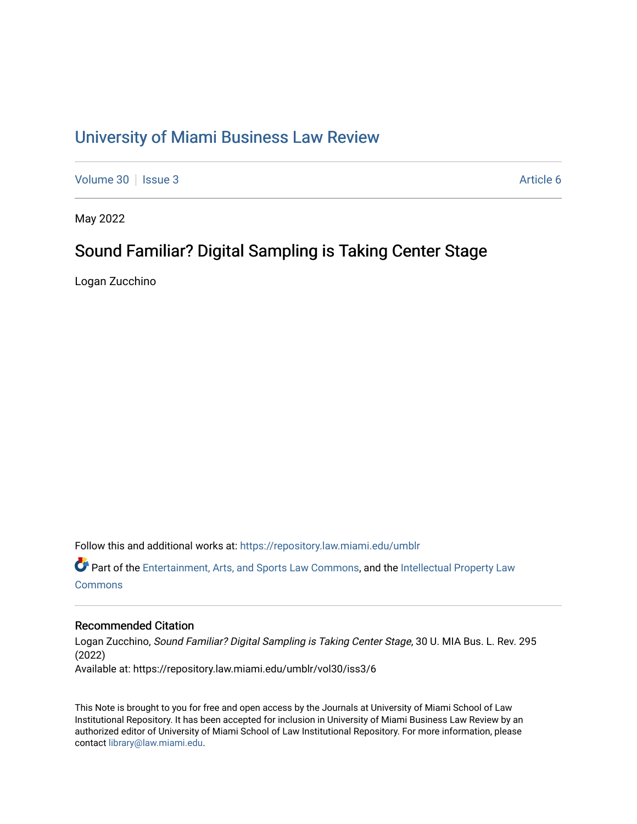# [University of Miami Business Law Review](https://repository.law.miami.edu/umblr)

[Volume 30](https://repository.law.miami.edu/umblr/vol30) | [Issue 3](https://repository.law.miami.edu/umblr/vol30/iss3) Article 6

May 2022

## Sound Familiar? Digital Sampling is Taking Center Stage

Logan Zucchino

Follow this and additional works at: [https://repository.law.miami.edu/umblr](https://repository.law.miami.edu/umblr?utm_source=repository.law.miami.edu%2Fumblr%2Fvol30%2Fiss3%2F6&utm_medium=PDF&utm_campaign=PDFCoverPages) 

Part of the [Entertainment, Arts, and Sports Law Commons](https://network.bepress.com/hgg/discipline/893?utm_source=repository.law.miami.edu%2Fumblr%2Fvol30%2Fiss3%2F6&utm_medium=PDF&utm_campaign=PDFCoverPages), and the [Intellectual Property Law](https://network.bepress.com/hgg/discipline/896?utm_source=repository.law.miami.edu%2Fumblr%2Fvol30%2Fiss3%2F6&utm_medium=PDF&utm_campaign=PDFCoverPages) **[Commons](https://network.bepress.com/hgg/discipline/896?utm_source=repository.law.miami.edu%2Fumblr%2Fvol30%2Fiss3%2F6&utm_medium=PDF&utm_campaign=PDFCoverPages)** 

### Recommended Citation

Logan Zucchino, Sound Familiar? Digital Sampling is Taking Center Stage, 30 U. MIA Bus. L. Rev. 295 (2022) Available at: https://repository.law.miami.edu/umblr/vol30/iss3/6

This Note is brought to you for free and open access by the Journals at University of Miami School of Law Institutional Repository. It has been accepted for inclusion in University of Miami Business Law Review by an authorized editor of University of Miami School of Law Institutional Repository. For more information, please contact [library@law.miami.edu](mailto:library@law.miami.edu).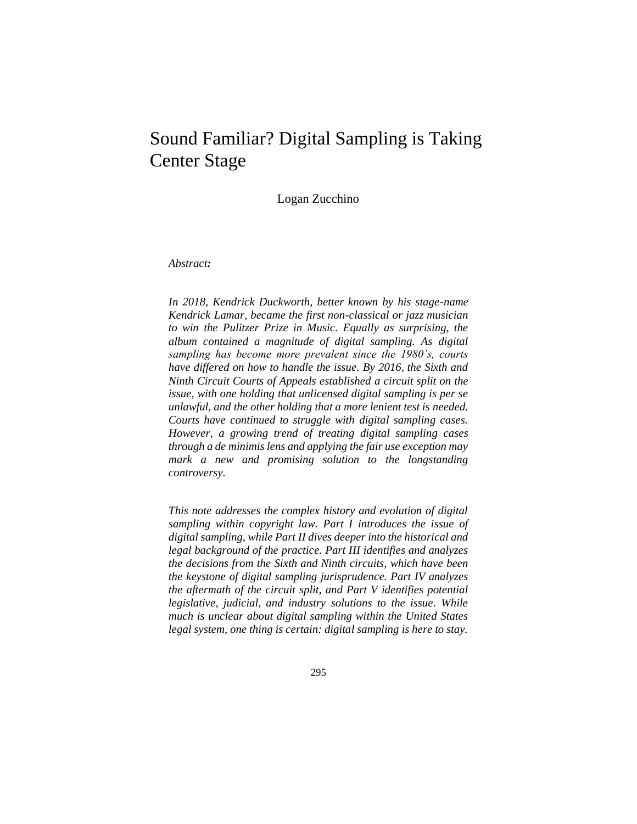## Sound Familiar? Digital Sampling is Taking Center Stage

Logan Zucchino

*Abstract:*

*In 2018, Kendrick Duckworth, better known by his stage-name Kendrick Lamar, became the first non-classical or jazz musician to win the Pulitzer Prize in Music. Equally as surprising, the album contained a magnitude of digital sampling. As digital sampling has become more prevalent since the 1980's, courts have differed on how to handle the issue. By 2016, the Sixth and Ninth Circuit Courts of Appeals established a circuit split on the issue, with one holding that unlicensed digital sampling is per se unlawful, and the other holding that a more lenient test is needed. Courts have continued to struggle with digital sampling cases. However, a growing trend of treating digital sampling cases through a de minimis lens and applying the fair use exception may mark a new and promising solution to the longstanding controversy.*

*This note addresses the complex history and evolution of digital sampling within copyright law. Part I introduces the issue of digital sampling, while Part II dives deeper into the historical and legal background of the practice. Part III identifies and analyzes the decisions from the Sixth and Ninth circuits, which have been the keystone of digital sampling jurisprudence. Part IV analyzes the aftermath of the circuit split, and Part V identifies potential legislative, judicial, and industry solutions to the issue. While much is unclear about digital sampling within the United States legal system, one thing is certain: digital sampling is here to stay.*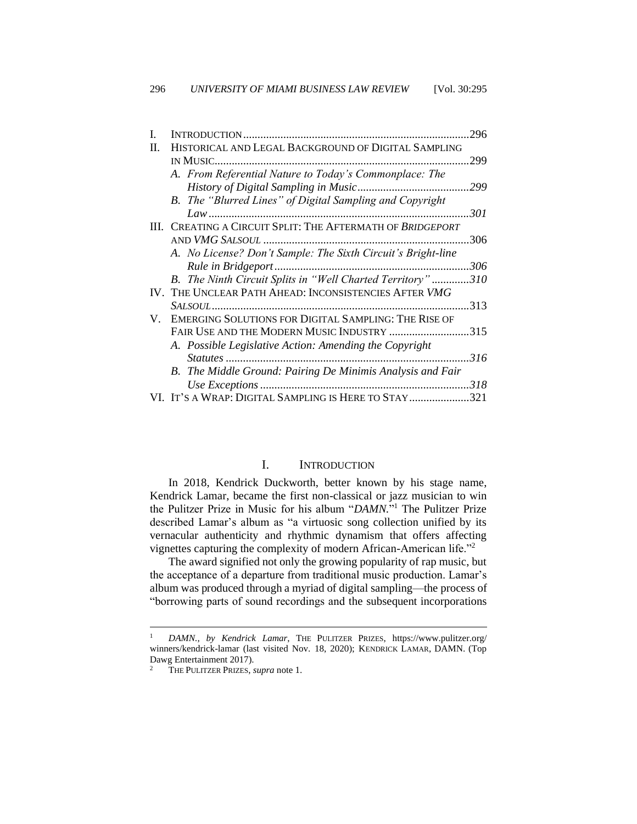|    |                                                              | 296  |
|----|--------------------------------------------------------------|------|
| H. | HISTORICAL AND LEGAL BACKGROUND OF DIGITAL SAMPLING          |      |
|    | IN MUSIC.                                                    | 299  |
|    | A. From Referential Nature to Today's Commonplace: The       |      |
|    |                                                              |      |
|    | B. The "Blurred Lines" of Digital Sampling and Copyright     |      |
|    |                                                              | 301  |
| Ш  | CREATING A CIRCUIT SPLIT: THE AFTERMATH OF BRIDGEPORT        |      |
|    | AND VMG SALSOUL                                              | 306  |
|    | A. No License? Don't Sample: The Sixth Circuit's Bright-line |      |
|    |                                                              | 306  |
|    | B. The Ninth Circuit Splits in "Well Charted Territory"      | 310  |
|    | THE UNCLEAR PATH AHEAD: INCONSISTENCIES AFTER VMG            |      |
|    |                                                              | 313  |
| V. | EMERGING SOLUTIONS FOR DIGITAL SAMPLING: THE RISE OF         |      |
|    | FAIR USE AND THE MODERN MUSIC INDUSTRY                       | .315 |
|    | A. Possible Legislative Action: Amending the Copyright       |      |
|    |                                                              | 316  |
|    | B. The Middle Ground: Pairing De Minimis Analysis and Fair   |      |
|    |                                                              | 318  |
|    | VI. It's a Wrap: Digital Sampling is Here to Stay            | .321 |

#### I. INTRODUCTION

<span id="page-2-0"></span>In 2018, Kendrick Duckworth, better known by his stage name, Kendrick Lamar, became the first non-classical or jazz musician to win the Pulitzer Prize in Music for his album "*DAMN.*" <sup>1</sup> The Pulitzer Prize described Lamar's album as "a virtuosic song collection unified by its vernacular authenticity and rhythmic dynamism that offers affecting vignettes capturing the complexity of modern African-American life."<sup>2</sup>

The award signified not only the growing popularity of rap music, but the acceptance of a departure from traditional music production. Lamar's album was produced through a myriad of digital sampling—the process of "borrowing parts of sound recordings and the subsequent incorporations

<sup>1</sup> *DAMN., by Kendrick Lamar*, THE PULITZER PRIZES, https://www.pulitzer.org/ winners/kendrick-lamar (last visited Nov. 18, 2020); KENDRICK LAMAR, DAMN. (Top Dawg Entertainment 2017).

<sup>2</sup> THE PULITZER PRIZES, *supra* note 1.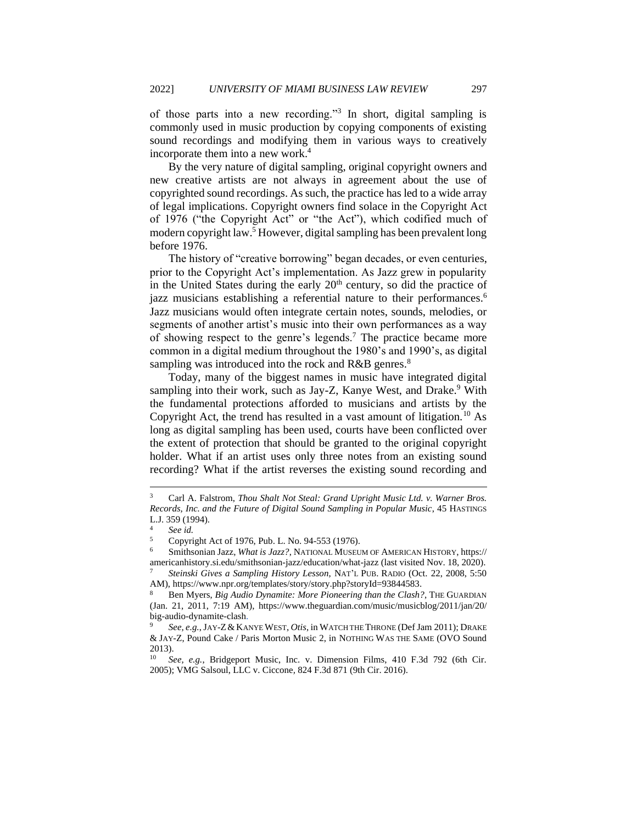of those parts into a new recording."<sup>3</sup> In short, digital sampling is commonly used in music production by copying components of existing sound recordings and modifying them in various ways to creatively incorporate them into a new work.<sup>4</sup>

By the very nature of digital sampling, original copyright owners and new creative artists are not always in agreement about the use of copyrighted sound recordings. As such, the practice has led to a wide array of legal implications. Copyright owners find solace in the Copyright Act of 1976 ("the Copyright Act" or "the Act"), which codified much of modern copyright law.<sup>5</sup> However, digital sampling has been prevalent long before 1976.

The history of "creative borrowing" began decades, or even centuries, prior to the Copyright Act's implementation. As Jazz grew in popularity in the United States during the early  $20<sup>th</sup>$  century, so did the practice of jazz musicians establishing a referential nature to their performances.<sup>6</sup> Jazz musicians would often integrate certain notes, sounds, melodies, or segments of another artist's music into their own performances as a way of showing respect to the genre's legends.<sup>7</sup> The practice became more common in a digital medium throughout the 1980's and 1990's, as digital sampling was introduced into the rock and  $R&B$  genres.<sup>8</sup>

Today, many of the biggest names in music have integrated digital sampling into their work, such as Jay-Z, Kanye West, and Drake.<sup>9</sup> With the fundamental protections afforded to musicians and artists by the Copyright Act, the trend has resulted in a vast amount of litigation.<sup>10</sup> As long as digital sampling has been used, courts have been conflicted over the extent of protection that should be granted to the original copyright holder. What if an artist uses only three notes from an existing sound recording? What if the artist reverses the existing sound recording and

<sup>7</sup> *Steinski Gives a Sampling History Lesson*, NAT'L PUB. RADIO (Oct. 22, 2008, 5:50 AM), https://www.npr.org/templates/story/story.php?storyId=93844583.

<sup>3</sup> Carl A. Falstrom, *Thou Shalt Not Steal: Grand Upright Music Ltd. v. Warner Bros. Records, Inc. and the Future of Digital Sound Sampling in Popular Music*, 45 HASTINGS L.J. 359 (1994).

<sup>4</sup> *See id.*

<sup>5</sup> Copyright Act of 1976, Pub. L. No. 94-553 (1976).

<sup>6</sup> Smithsonian Jazz, *What is Jazz?*, NATIONAL MUSEUM OF AMERICAN HISTORY, https:// americanhistory.si.edu/smithsonian-jazz/education/what-jazz (last visited Nov. 18, 2020).

<sup>8</sup> Ben Myers, *Big Audio Dynamite: More Pioneering than the Clash?*, THE GUARDIAN (Jan. 21, 2011, 7:19 AM), https://www.theguardian.com/music/musicblog/2011/jan/20/ big-audio-dynamite-clash.

<sup>9</sup> *See, e.g.*,JAY-Z&KANYE WEST, *Otis*, in WATCH THE THRONE (Def Jam 2011); DRAKE & JAY-Z, Pound Cake / Paris Morton Music 2, in NOTHING WAS THE SAME (OVO Sound 2013).

<sup>10</sup> *See, e.g.*, Bridgeport Music, Inc. v. Dimension Films, 410 F.3d 792 (6th Cir. 2005); VMG Salsoul, LLC v. Ciccone*,* 824 F.3d 871 (9th Cir. 2016).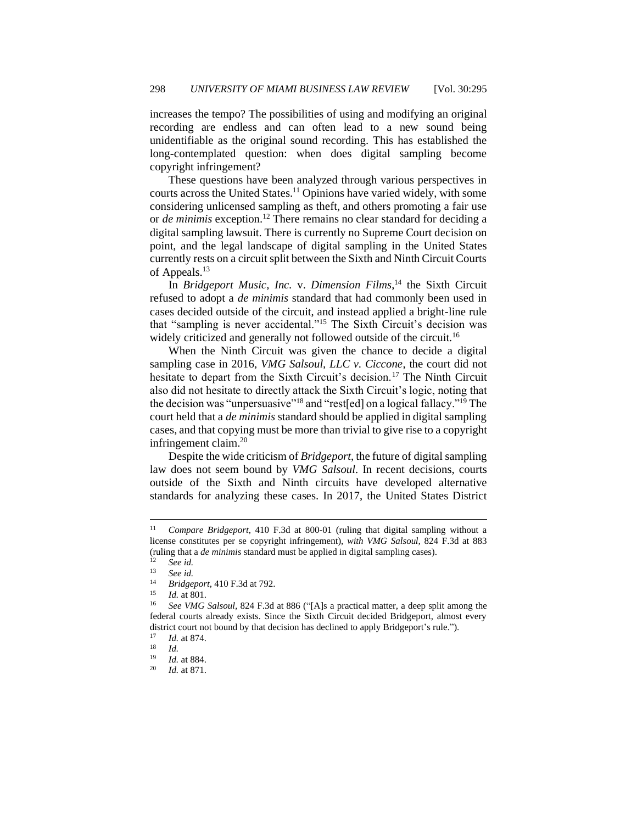increases the tempo? The possibilities of using and modifying an original recording are endless and can often lead to a new sound being unidentifiable as the original sound recording. This has established the long-contemplated question: when does digital sampling become copyright infringement?

These questions have been analyzed through various perspectives in courts across the United States.<sup>11</sup> Opinions have varied widely, with some considering unlicensed sampling as theft, and others promoting a fair use or *de minimis* exception.<sup>12</sup> There remains no clear standard for deciding a digital sampling lawsuit. There is currently no Supreme Court decision on point, and the legal landscape of digital sampling in the United States currently rests on a circuit split between the Sixth and Ninth Circuit Courts of Appeals.<sup>13</sup>

In *Bridgeport Music, Inc.* v. *Dimension Films*, <sup>14</sup> the Sixth Circuit refused to adopt a *de minimis* standard that had commonly been used in cases decided outside of the circuit, and instead applied a bright-line rule that "sampling is never accidental."<sup>15</sup> The Sixth Circuit's decision was widely criticized and generally not followed outside of the circuit.<sup>16</sup>

When the Ninth Circuit was given the chance to decide a digital sampling case in 2016, *VMG Salsoul, LLC v. Ciccone*, the court did not hesitate to depart from the Sixth Circuit's decision.<sup>17</sup> The Ninth Circuit also did not hesitate to directly attack the Sixth Circuit's logic, noting that the decision was "unpersuasive"<sup>18</sup> and "rest[ed] on a logical fallacy."<sup>19</sup> The court held that a *de minimis* standard should be applied in digital sampling cases, and that copying must be more than trivial to give rise to a copyright infringement claim.<sup>20</sup>

Despite the wide criticism of *Bridgeport*, the future of digital sampling law does not seem bound by *VMG Salsoul*. In recent decisions, courts outside of the Sixth and Ninth circuits have developed alternative standards for analyzing these cases. In 2017, the United States District

<sup>11</sup> *Compare Bridgeport*, 410 F.3d at 800-01 (ruling that digital sampling without a license constitutes per se copyright infringement), *with VMG Salsoul,* 824 F.3d at 883 (ruling that a *de minimis* standard must be applied in digital sampling cases).

 $\int_{13}^{12}$  *See id.* 

<sup>13</sup> *See id.*

<sup>&</sup>lt;sup>14</sup> *Bridgeport*, 410 F.3d at 792.

*Id.* at 801.

<sup>16</sup> *See VMG Salsoul,* 824 F.3d at 886 ("[A]s a practical matter, a deep split among the federal courts already exists. Since the Sixth Circuit decided Bridgeport, almost every district court not bound by that decision has declined to apply Bridgeport's rule.").

 $\frac{17}{18}$  *Id.* at 874.

 $\frac{18}{19}$  *Id.* 

 $\frac{19}{20}$  *Id.* at 884.

*Id.* at 871.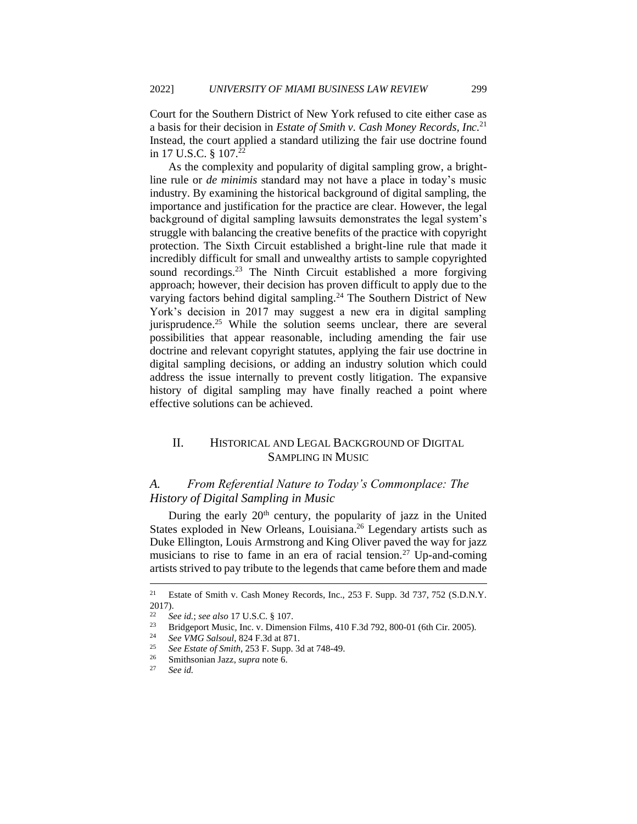Court for the Southern District of New York refused to cite either case as a basis for their decision in *Estate of Smith v. Cash Money Records, Inc.*<sup>21</sup> Instead, the court applied a standard utilizing the fair use doctrine found in 17 U.S.C. § 107.<sup>21</sup>

As the complexity and popularity of digital sampling grow, a brightline rule or *de minimis* standard may not have a place in today's music industry. By examining the historical background of digital sampling, the importance and justification for the practice are clear. However, the legal background of digital sampling lawsuits demonstrates the legal system's struggle with balancing the creative benefits of the practice with copyright protection. The Sixth Circuit established a bright-line rule that made it incredibly difficult for small and unwealthy artists to sample copyrighted sound recordings.<sup>23</sup> The Ninth Circuit established a more forgiving approach; however, their decision has proven difficult to apply due to the varying factors behind digital sampling. <sup>24</sup> The Southern District of New York's decision in 2017 may suggest a new era in digital sampling jurisprudence.<sup>25</sup> While the solution seems unclear, there are several possibilities that appear reasonable, including amending the fair use doctrine and relevant copyright statutes, applying the fair use doctrine in digital sampling decisions, or adding an industry solution which could address the issue internally to prevent costly litigation. The expansive history of digital sampling may have finally reached a point where effective solutions can be achieved.

## <span id="page-5-0"></span>II. HISTORICAL AND LEGAL BACKGROUND OF DIGITAL SAMPLING IN MUSIC

## <span id="page-5-1"></span>*A. From Referential Nature to Today's Commonplace: The History of Digital Sampling in Music*

During the early  $20<sup>th</sup>$  century, the popularity of jazz in the United States exploded in New Orleans, Louisiana.<sup>26</sup> Legendary artists such as Duke Ellington, Louis Armstrong and King Oliver paved the way for jazz musicians to rise to fame in an era of racial tension.<sup>27</sup> Up-and-coming artists strived to pay tribute to the legends that came before them and made

<sup>&</sup>lt;sup>21</sup> Estate of Smith v. Cash Money Records, Inc., 253 F. Supp. 3d 737, 752 (S.D.N.Y.  $\frac{2017}{22}$ .

<sup>22</sup> *See id.*; *see also* 17 U.S.C. § 107.

<sup>&</sup>lt;sup>23</sup> Bridgeport Music, Inc. v. Dimension Films, 410 F.3d 792, 800-01 (6th Cir. 2005).<br><sup>24</sup> See *VMG* Selsoul, 824 E.3d at 871

<sup>24</sup> *See VMG Salsoul*, 824 F.3d at 871.

<sup>&</sup>lt;sup>25</sup> *See Estate of Smith*, 253 F. Supp. 3d at 748-49.

<sup>&</sup>lt;sup>26</sup> Smithsonian Jazz, *supra* note 6.<br><sup>27</sup> Sec.id

See id.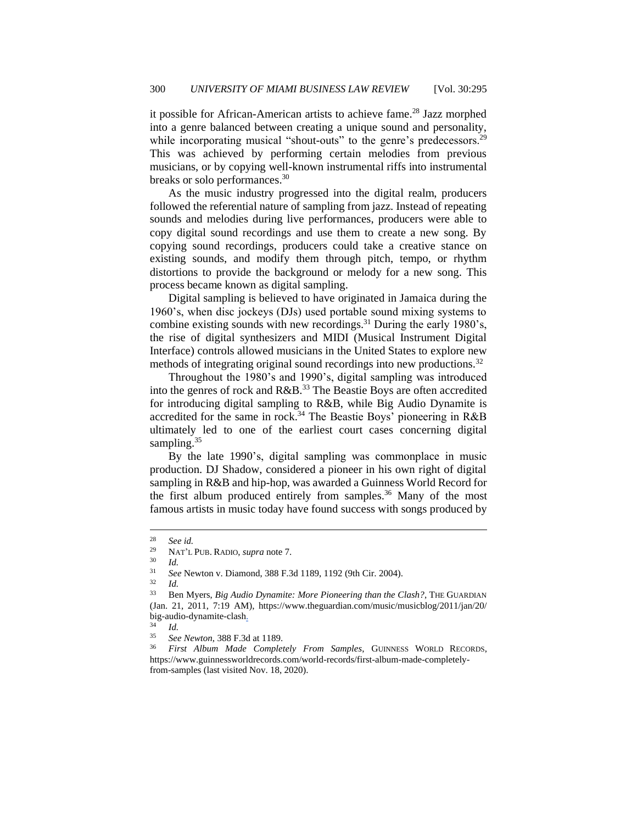it possible for African-American artists to achieve fame.<sup>28</sup> Jazz morphed into a genre balanced between creating a unique sound and personality, while incorporating musical "shout-outs" to the genre's predecessors.<sup>29</sup> This was achieved by performing certain melodies from previous musicians, or by copying well-known instrumental riffs into instrumental breaks or solo performances.<sup>30</sup>

As the music industry progressed into the digital realm, producers followed the referential nature of sampling from jazz. Instead of repeating sounds and melodies during live performances, producers were able to copy digital sound recordings and use them to create a new song. By copying sound recordings, producers could take a creative stance on existing sounds, and modify them through pitch, tempo, or rhythm distortions to provide the background or melody for a new song. This process became known as digital sampling.

Digital sampling is believed to have originated in Jamaica during the 1960's, when disc jockeys (DJs) used portable sound mixing systems to combine existing sounds with new recordings.<sup>31</sup> During the early 1980's, the rise of digital synthesizers and MIDI (Musical Instrument Digital Interface) controls allowed musicians in the United States to explore new methods of integrating original sound recordings into new productions.<sup>32</sup>

Throughout the 1980's and 1990's, digital sampling was introduced into the genres of rock and R&B.<sup>33</sup> The Beastie Boys are often accredited for introducing digital sampling to R&B, while Big Audio Dynamite is accredited for the same in rock.<sup>34</sup> The Beastie Boys' pioneering in R&B ultimately led to one of the earliest court cases concerning digital sampling. $35$ 

By the late 1990's, digital sampling was commonplace in music production. DJ Shadow, considered a pioneer in his own right of digital sampling in R&B and hip-hop, was awarded a Guinness World Record for the first album produced entirely from samples.<sup>36</sup> Many of the most famous artists in music today have found success with songs produced by

*Id.* 

<sup>&</sup>lt;sup>28</sup> *See id.*<br><sup>29</sup> **NAT'** 

<sup>29</sup> NAT'L PUB. RADIO, *supra* note 7.

 $rac{30}{31}$  *Id.* 

<sup>31</sup> *See* Newton v. Diamond, 388 F.3d 1189, 1192 (9th Cir. 2004).

<sup>&</sup>lt;sup>33</sup> Ben Myers, *Big Audio Dynamite: More Pioneering than the Clash?*, THE GUARDIAN (Jan. 21, 2011, 7:19 AM), https://www.theguardian.com/music/musicblog/2011/jan/20/ big-audio-dynamite-clash.

 $rac{34}{35}$  *Id.* 

<sup>35</sup> *See Newton*, 388 F.3d at 1189.

<sup>36</sup> *First Album Made Completely From Samples*, GUINNESS WORLD RECORDS, https://www.guinnessworldrecords.com/world-records/first-album-made-completelyfrom-samples (last visited Nov. 18, 2020).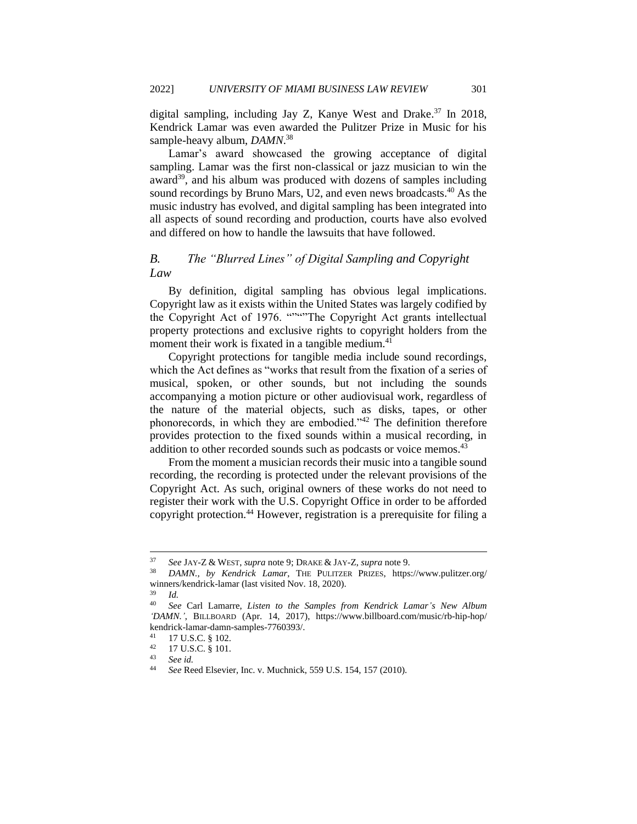digital sampling, including Jay Z, Kanye West and Drake.<sup>37</sup> In 2018, Kendrick Lamar was even awarded the Pulitzer Prize in Music for his sample-heavy album, *DAMN*. 38

Lamar's award showcased the growing acceptance of digital sampling. Lamar was the first non-classical or jazz musician to win the award $39$ , and his album was produced with dozens of samples including sound recordings by Bruno Mars, U2, and even news broadcasts.<sup>40</sup> As the music industry has evolved, and digital sampling has been integrated into all aspects of sound recording and production, courts have also evolved and differed on how to handle the lawsuits that have followed.

### <span id="page-7-0"></span>*B. The "Blurred Lines" of Digital Sampling and Copyright Law*

By definition, digital sampling has obvious legal implications. Copyright law as it exists within the United States was largely codified by the Copyright Act of 1976. """"The Copyright Act grants intellectual property protections and exclusive rights to copyright holders from the moment their work is fixated in a tangible medium.<sup>41</sup>

Copyright protections for tangible media include sound recordings, which the Act defines as "works that result from the fixation of a series of musical, spoken, or other sounds, but not including the sounds accompanying a motion picture or other audiovisual work, regardless of the nature of the material objects, such as disks, tapes, or other phonorecords, in which they are embodied."<sup>42</sup> The definition therefore provides protection to the fixed sounds within a musical recording, in addition to other recorded sounds such as podcasts or voice memos.<sup>43</sup>

From the moment a musician records their music into a tangible sound recording, the recording is protected under the relevant provisions of the Copyright Act. As such, original owners of these works do not need to register their work with the U.S. Copyright Office in order to be afforded copyright protection.<sup>44</sup> However, registration is a prerequisite for filing a

 $rac{39}{40}$  *Id.* 

<sup>37</sup> *See* JAY-Z & WEST, *supra* note 9; DRAKE & JAY-Z, *supra* note 9.

<sup>38</sup> *DAMN., by Kendrick Lamar*, THE PULITZER PRIZES, https://www.pulitzer.org/ winners/kendrick-lamar (last visited Nov. 18, 2020).

<sup>40</sup> *See* Carl Lamarre, *Listen to the Samples from Kendrick Lamar's New Album 'DAMN.'*, BILLBOARD (Apr. 14, 2017), https://www.billboard.com/music/rb-hip-hop/ kendrick-lamar-damn-samples-7760393/.

<sup>41</sup> 17 U.S.C. § 102.

 $^{42}$  17 U.S.C. § 101.

<sup>43</sup> *See id.*

<sup>44</sup> *See* Reed Elsevier, Inc. v. Muchnick, 559 U.S. 154, 157 (2010).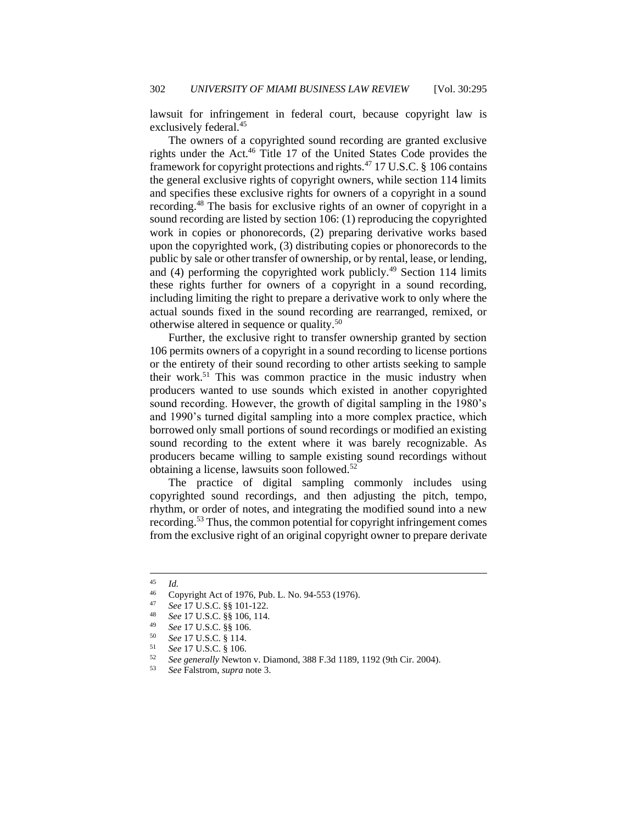lawsuit for infringement in federal court, because copyright law is exclusively federal.<sup>45</sup>

The owners of a copyrighted sound recording are granted exclusive rights under the Act.<sup>46</sup> Title 17 of the United States Code provides the framework for copyright protections and rights.<sup>47</sup> 17 U.S.C. § 106 contains the general exclusive rights of copyright owners, while section 114 limits and specifies these exclusive rights for owners of a copyright in a sound recording.<sup>48</sup> The basis for exclusive rights of an owner of copyright in a sound recording are listed by section 106: (1) reproducing the copyrighted work in copies or phonorecords, (2) preparing derivative works based upon the copyrighted work, (3) distributing copies or phonorecords to the public by sale or other transfer of ownership, or by rental, lease, or lending, and (4) performing the copyrighted work publicly.<sup>49</sup> Section 114 limits these rights further for owners of a copyright in a sound recording, including limiting the right to prepare a derivative work to only where the actual sounds fixed in the sound recording are rearranged, remixed, or otherwise altered in sequence or quality.<sup>50</sup>

Further, the exclusive right to transfer ownership granted by section 106 permits owners of a copyright in a sound recording to license portions or the entirety of their sound recording to other artists seeking to sample their work.<sup>51</sup> This was common practice in the music industry when producers wanted to use sounds which existed in another copyrighted sound recording. However, the growth of digital sampling in the 1980's and 1990's turned digital sampling into a more complex practice, which borrowed only small portions of sound recordings or modified an existing sound recording to the extent where it was barely recognizable. As producers became willing to sample existing sound recordings without obtaining a license, lawsuits soon followed.<sup>52</sup>

The practice of digital sampling commonly includes using copyrighted sound recordings, and then adjusting the pitch, tempo, rhythm, or order of notes, and integrating the modified sound into a new recording.<sup>53</sup> Thus, the common potential for copyright infringement comes from the exclusive right of an original copyright owner to prepare derivate

 $\frac{45}{46}$  *Id.* 

<sup>&</sup>lt;sup>46</sup> Copyright Act of 1976, Pub. L. No. 94-553 (1976).<br><sup>47</sup> See 17 U.S.C. 88 101-122

<sup>47</sup> *See* 17 U.S.C. §§ 101-122.

<sup>48</sup> *See* 17 U.S.C. §§ 106, 114.

<sup>49</sup> *See* 17 U.S.C. §§ 106.

<sup>50</sup> *See* 17 U.S.C. § 114.

<sup>51</sup> *See* 17 U.S.C. § 106.

<sup>52</sup> *See generally* Newton v. Diamond, 388 F.3d 1189, 1192 (9th Cir. 2004).

<sup>53</sup> *See* Falstrom, *supra* note 3.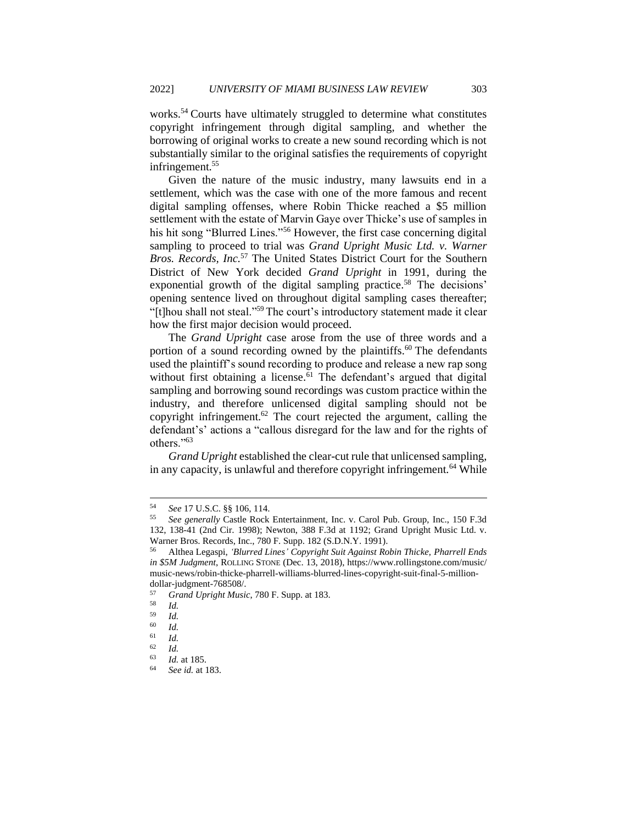works.<sup>54</sup> Courts have ultimately struggled to determine what constitutes copyright infringement through digital sampling, and whether the borrowing of original works to create a new sound recording which is not substantially similar to the original satisfies the requirements of copyright infringement.<sup>55</sup>

Given the nature of the music industry, many lawsuits end in a settlement, which was the case with one of the more famous and recent digital sampling offenses, where Robin Thicke reached a \$5 million settlement with the estate of Marvin Gaye over Thicke's use of samples in his hit song "Blurred Lines."<sup>56</sup> However, the first case concerning digital sampling to proceed to trial was *Grand Upright Music Ltd. v. Warner Bros. Records, Inc.*<sup>57</sup> The United States District Court for the Southern District of New York decided *Grand Upright* in 1991, during the exponential growth of the digital sampling practice.<sup>58</sup> The decisions' opening sentence lived on throughout digital sampling cases thereafter; "[t]hou shall not steal."<sup>59</sup> The court's introductory statement made it clear how the first major decision would proceed.

The *Grand Upright* case arose from the use of three words and a portion of a sound recording owned by the plaintiffs.<sup>60</sup> The defendants used the plaintiff's sound recording to produce and release a new rap song without first obtaining a license.<sup>61</sup> The defendant's argued that digital sampling and borrowing sound recordings was custom practice within the industry, and therefore unlicensed digital sampling should not be copyright infringement.<sup>62</sup> The court rejected the argument, calling the defendant's' actions a "callous disregard for the law and for the rights of others."<sup>63</sup>

*Grand Upright* established the clear-cut rule that unlicensed sampling, in any capacity, is unlawful and therefore copyright infringement.<sup>64</sup> While

<sup>54</sup> *See* 17 U.S.C. §§ 106, 114.

<sup>55</sup> *See generally* Castle Rock Entertainment, Inc. v. Carol Pub. Group, Inc., 150 F.3d 132, 138-41 (2nd Cir. 1998); Newton, 388 F.3d at 1192; Grand Upright Music Ltd. v. Warner Bros. Records, Inc., 780 F. Supp. 182 (S.D.N.Y. 1991).

<sup>56</sup> Althea Legaspi, *'Blurred Lines' Copyright Suit Against Robin Thicke, Pharrell Ends in \$5M Judgment*, ROLLING STONE (Dec. 13, 2018), https://www.rollingstone.com/music/ music-news/robin-thicke-pharrell-williams-blurred-lines-copyright-suit-final-5-milliondollar-judgment-768508/.

<sup>57</sup> *Grand Upright Music*, 780 F. Supp. at 183.

 $\frac{58}{59}$  *Id.* 

 $\frac{59}{60}$  *Id.* 

 $\begin{array}{cc} 60 & Id. \\ 61 & Id. \end{array}$ 

<sup>61</sup> *Id.*

 $\frac{62}{63}$  *Id.* 

 $\frac{63}{64}$  *Id.* at 185.

<sup>64</sup> *See id.* at 183.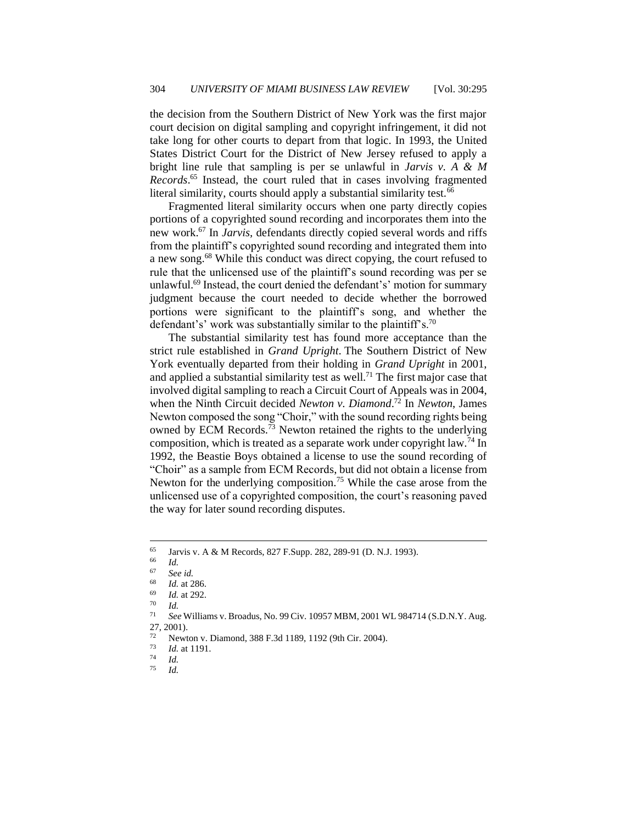the decision from the Southern District of New York was the first major court decision on digital sampling and copyright infringement, it did not take long for other courts to depart from that logic. In 1993, the United States District Court for the District of New Jersey refused to apply a bright line rule that sampling is per se unlawful in *Jarvis v. A & M Records*. <sup>65</sup> Instead, the court ruled that in cases involving fragmented literal similarity, courts should apply a substantial similarity test.<sup>66</sup>

Fragmented literal similarity occurs when one party directly copies portions of a copyrighted sound recording and incorporates them into the new work.<sup>67</sup> In *Jarvis,* defendants directly copied several words and riffs from the plaintiff's copyrighted sound recording and integrated them into a new song.<sup>68</sup> While this conduct was direct copying, the court refused to rule that the unlicensed use of the plaintiff's sound recording was per se unlawful.<sup>69</sup> Instead, the court denied the defendant's' motion for summary judgment because the court needed to decide whether the borrowed portions were significant to the plaintiff's song, and whether the defendant's' work was substantially similar to the plaintiff's.<sup>70</sup>

The substantial similarity test has found more acceptance than the strict rule established in *Grand Upright*. The Southern District of New York eventually departed from their holding in *Grand Upright* in 2001, and applied a substantial similarity test as well.<sup>71</sup> The first major case that involved digital sampling to reach a Circuit Court of Appeals was in 2004, when the Ninth Circuit decided *Newton v. Diamond*. <sup>72</sup> In *Newton*, James Newton composed the song "Choir," with the sound recording rights being owned by ECM Records.<sup>73</sup> Newton retained the rights to the underlying composition, which is treated as a separate work under copyright law.<sup>74</sup> In 1992, the Beastie Boys obtained a license to use the sound recording of "Choir" as a sample from ECM Records, but did not obtain a license from Newton for the underlying composition.<sup>75</sup> While the case arose from the unlicensed use of a copyrighted composition, the court's reasoning paved the way for later sound recording disputes.

 $^{65}$  Jarvis v. A & M Records, 827 F.Supp. 282, 289-91 (D. N.J. 1993).

 $\frac{66}{67}$  *Id.* 

 $^{67}$  *See id.*<br> $^{68}$  *L* at 2

 $\frac{68}{69}$  *Id.* at 286. *Id.* at 292.

 $rac{70}{71}$  *Id.* 

<sup>71</sup> *See* Williams v. Broadus, No. 99 Civ. 10957 MBM, 2001 WL 984714 (S.D.N.Y. Aug. 27, 2001).

Newton v. Diamond, 388 F.3d 1189, 1192 (9th Cir. 2004).

 $\frac{73}{74}$  *Id.* at 1191.

 $\frac{74}{75}$  *Id.* <sup>75</sup> *Id.*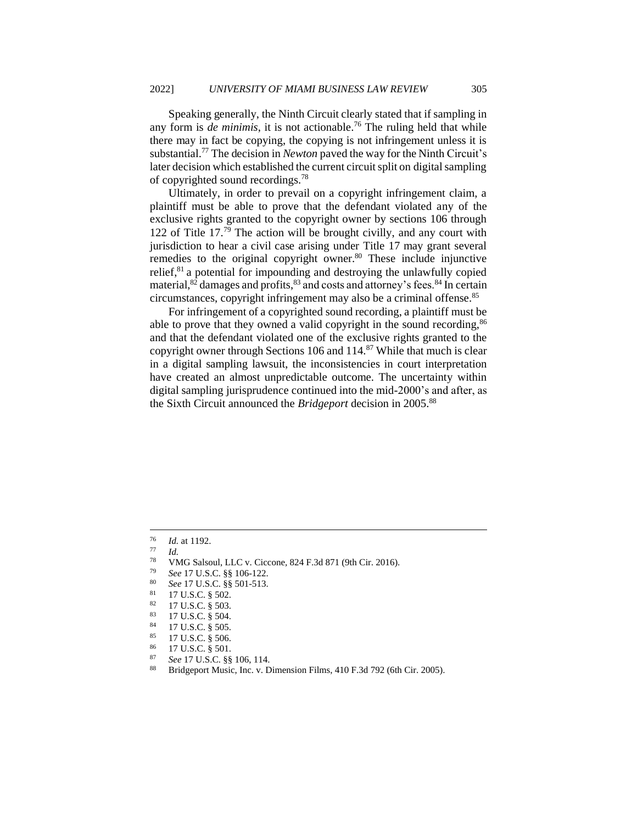Speaking generally, the Ninth Circuit clearly stated that if sampling in any form is *de minimis*, it is not actionable.<sup>76</sup> The ruling held that while there may in fact be copying, the copying is not infringement unless it is substantial.<sup>77</sup> The decision in *Newton* paved the way for the Ninth Circuit's later decision which established the current circuit split on digital sampling of copyrighted sound recordings.<sup>78</sup>

Ultimately, in order to prevail on a copyright infringement claim, a plaintiff must be able to prove that the defendant violated any of the exclusive rights granted to the copyright owner by sections 106 through 122 of Title 17.<sup>79</sup> The action will be brought civilly, and any court with jurisdiction to hear a civil case arising under Title 17 may grant several remedies to the original copyright owner. $80$  These include injunctive relief, $81$  a potential for impounding and destroying the unlawfully copied material, $82$  damages and profits,  $83$  and costs and attorney's fees.  $84$  In certain circumstances, copyright infringement may also be a criminal offense.<sup>85</sup>

For infringement of a copyrighted sound recording, a plaintiff must be able to prove that they owned a valid copyright in the sound recording,  $86$ and that the defendant violated one of the exclusive rights granted to the copyright owner through Sections 106 and  $114$ <sup>87</sup> While that much is clear in a digital sampling lawsuit, the inconsistencies in court interpretation have created an almost unpredictable outcome. The uncertainty within digital sampling jurisprudence continued into the mid-2000's and after, as the Sixth Circuit announced the *Bridgeport* decision in 2005.<sup>88</sup>

- <sup>78</sup> VMG Salsoul, LLC v. Ciccone, 824 F.3d 871 (9th Cir. 2016).<br><sup>79</sup> Sec. 17 U.S.C. <sup>8.8</sup> 106 122
- <sup>79</sup> *See* 17 U.S.C. §§ 106-122.
- <sup>80</sup> *See* 17 U.S.C. §§ 501-513.
- $\frac{81}{82}$  17 U.S.C. § 502.

- $\begin{array}{c} 83 \\ 84 \end{array}$  17 U.S.C. § 504.
- $^{84}$  17 U.S.C. § 505.<br> $^{85}$  17 U.S.C. § 506
- 17 U.S.C. § 506.
- $\frac{86}{87}$  17 U.S.C. § 501.
- <sup>87</sup> *See* 17 U.S.C. §§ 106, 114.
- Bridgeport Music, Inc. v. Dimension Films, 410 F.3d 792 (6th Cir. 2005).

 $\frac{76}{77}$  *Id.* at 1192.

 $\frac{77}{78}$  *Id.* 

 $\frac{82}{83}$  17 U.S.C. § 503.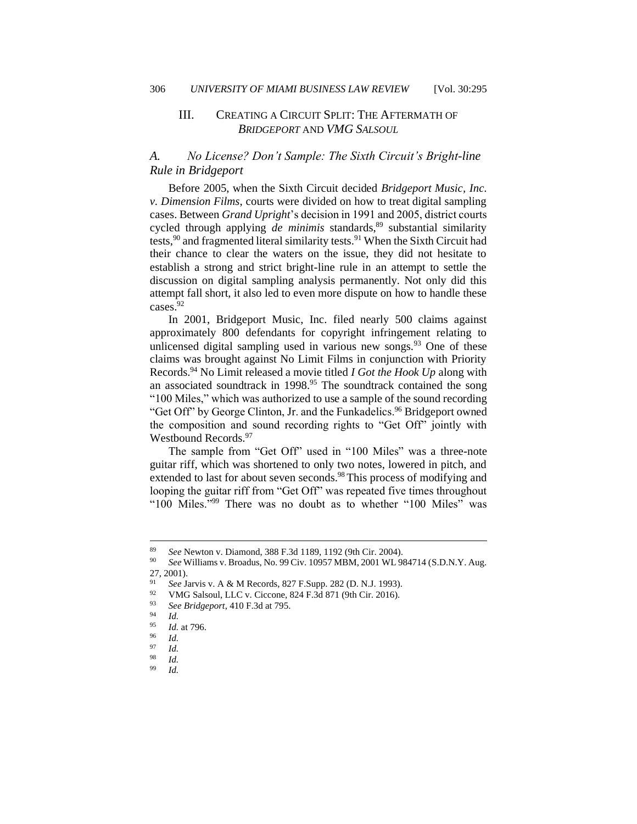#### <span id="page-12-0"></span>III. CREATING A CIRCUIT SPLIT: THE AFTERMATH OF *BRIDGEPORT* AND *VMG SALSOUL*

## <span id="page-12-1"></span>*A. No License? Don't Sample: The Sixth Circuit's Bright-line Rule in Bridgeport*

Before 2005, when the Sixth Circuit decided *Bridgeport Music, Inc. v. Dimension Films*, courts were divided on how to treat digital sampling cases. Between *Grand Upright*'s decision in 1991 and 2005, district courts cycled through applying *de minimis* standards,<sup>89</sup> substantial similarity tests,<sup>90</sup> and fragmented literal similarity tests.<sup>91</sup> When the Sixth Circuit had their chance to clear the waters on the issue, they did not hesitate to establish a strong and strict bright-line rule in an attempt to settle the discussion on digital sampling analysis permanently. Not only did this attempt fall short, it also led to even more dispute on how to handle these cases.<sup>92</sup>

In 2001, Bridgeport Music, Inc. filed nearly 500 claims against approximately 800 defendants for copyright infringement relating to unlicensed digital sampling used in various new songs.  $93$  One of these claims was brought against No Limit Films in conjunction with Priority Records.<sup>94</sup> No Limit released a movie titled *I Got the Hook Up* along with an associated soundtrack in 1998.<sup>95</sup> The soundtrack contained the song "100 Miles," which was authorized to use a sample of the sound recording "Get Off" by George Clinton, Jr. and the Funkadelics.<sup>96</sup> Bridgeport owned the composition and sound recording rights to "Get Off" jointly with Westbound Records.<sup>97</sup>

The sample from "Get Off" used in "100 Miles" was a three-note guitar riff, which was shortened to only two notes, lowered in pitch, and extended to last for about seven seconds.<sup>98</sup> This process of modifying and looping the guitar riff from "Get Off" was repeated five times throughout "100 Miles."<sup>99</sup> There was no doubt as to whether "100 Miles" was

<sup>89</sup> *See* Newton v. Diamond, 388 F.3d 1189, 1192 (9th Cir. 2004).

<sup>90</sup> *See* Williams v. Broadus, No. 99 Civ. 10957 MBM, 2001 WL 984714 (S.D.N.Y. Aug. 27, 2001).

<sup>91</sup> *See* Jarvis v. A & M Records, 827 F.Supp. 282 (D. N.J. 1993).

<sup>&</sup>lt;sup>92</sup> VMG Salsoul, LLC v. Ciccone, 824 F.3d 871 (9th Cir. 2016).<br><sup>93</sup> See Prideeport, 410 F.3d at 705

<sup>93</sup> *See Bridgeport*, 410 F.3d at 795.

 $\frac{94}{95}$  *Id.* 

<sup>95</sup> *Id.* at 796.

*Id.* 

 $\frac{97}{98}$  *Id.* 

 $\frac{98}{99}$  *Id.* 

*Id.*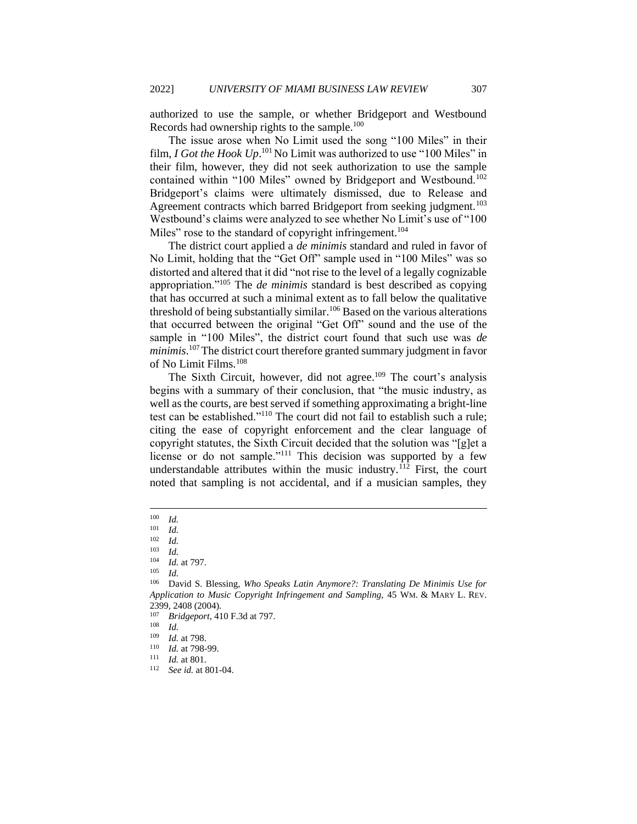authorized to use the sample, or whether Bridgeport and Westbound Records had ownership rights to the sample.<sup>100</sup>

The issue arose when No Limit used the song "100 Miles" in their film, *I Got the Hook Up*<sup>101</sup> No Limit was authorized to use "100 Miles" in their film, however, they did not seek authorization to use the sample contained within "100 Miles" owned by Bridgeport and Westbound.<sup>102</sup> Bridgeport's claims were ultimately dismissed, due to Release and Agreement contracts which barred Bridgeport from seeking judgment.<sup>103</sup> Westbound's claims were analyzed to see whether No Limit's use of "100 Miles" rose to the standard of copyright infringement.<sup>104</sup>

The district court applied a *de minimis* standard and ruled in favor of No Limit, holding that the "Get Off" sample used in "100 Miles" was so distorted and altered that it did "not rise to the level of a legally cognizable appropriation."<sup>105</sup> The *de minimis* standard is best described as copying that has occurred at such a minimal extent as to fall below the qualitative threshold of being substantially similar.<sup>106</sup> Based on the various alterations that occurred between the original "Get Off" sound and the use of the sample in "100 Miles", the district court found that such use was *de minimis*. <sup>107</sup>The district court therefore granted summary judgment in favor of No Limit Films.<sup>108</sup>

The Sixth Circuit, however, did not agree.<sup>109</sup> The court's analysis begins with a summary of their conclusion, that "the music industry, as well as the courts, are best served if something approximating a bright-line test can be established."<sup>110</sup> The court did not fail to establish such a rule; citing the ease of copyright enforcement and the clear language of copyright statutes, the Sixth Circuit decided that the solution was "[g]et a license or do not sample."<sup>111</sup> This decision was supported by a few understandable attributes within the music industry.<sup>112</sup> First, the court noted that sampling is not accidental, and if a musician samples, they

 $\frac{100}{101}$  *Id.* 

<sup>101</sup> *Id.*

 $\frac{102}{103}$  *Id.* 

 $\frac{103}{104}$  *Id.* 

*Id.* at 797.

 $\frac{105}{106}$  *Id.* 

<sup>106</sup> David S. Blessing, *Who Speaks Latin Anymore?: Translating De Minimis Use for Application to Music Copyright Infringement and Sampling*, 45 WM. & MARY L. REV. 2399, 2408 (2004).

<sup>107</sup> *Bridgeport*, 410 F.3d at 797.

 $\frac{108}{109}$  *Id.* 

*Id.* at 798.

<sup>110</sup> *Id.* at 798-99.

 $111$  *Id.* at 801.

See id. at 801-04.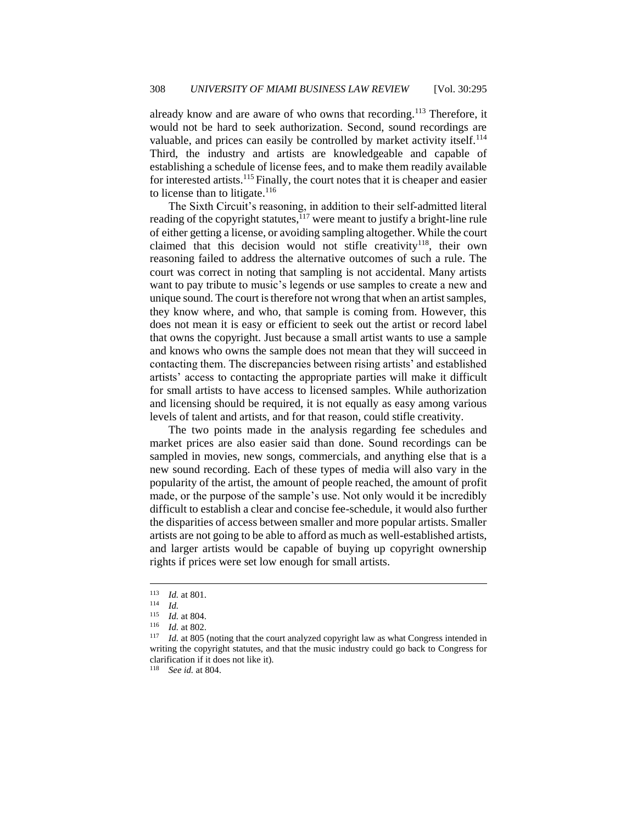already know and are aware of who owns that recording.<sup>113</sup> Therefore, it would not be hard to seek authorization. Second, sound recordings are valuable, and prices can easily be controlled by market activity itself.<sup>114</sup> Third, the industry and artists are knowledgeable and capable of establishing a schedule of license fees, and to make them readily available for interested artists.<sup>115</sup> Finally, the court notes that it is cheaper and easier to license than to litigate. $116$ 

The Sixth Circuit's reasoning, in addition to their self-admitted literal reading of the copyright statutes, $117$  were meant to justify a bright-line rule of either getting a license, or avoiding sampling altogether. While the court claimed that this decision would not stifle creativity<sup>118</sup>, their own reasoning failed to address the alternative outcomes of such a rule. The court was correct in noting that sampling is not accidental. Many artists want to pay tribute to music's legends or use samples to create a new and unique sound. The court is therefore not wrong that when an artist samples, they know where, and who, that sample is coming from. However, this does not mean it is easy or efficient to seek out the artist or record label that owns the copyright. Just because a small artist wants to use a sample and knows who owns the sample does not mean that they will succeed in contacting them. The discrepancies between rising artists' and established artists' access to contacting the appropriate parties will make it difficult for small artists to have access to licensed samples. While authorization and licensing should be required, it is not equally as easy among various levels of talent and artists, and for that reason, could stifle creativity.

The two points made in the analysis regarding fee schedules and market prices are also easier said than done. Sound recordings can be sampled in movies, new songs, commercials, and anything else that is a new sound recording. Each of these types of media will also vary in the popularity of the artist, the amount of people reached, the amount of profit made, or the purpose of the sample's use. Not only would it be incredibly difficult to establish a clear and concise fee-schedule, it would also further the disparities of access between smaller and more popular artists. Smaller artists are not going to be able to afford as much as well-established artists, and larger artists would be capable of buying up copyright ownership rights if prices were set low enough for small artists.

<sup>118</sup> *See id.* at 804.

 $\frac{113}{114}$  *Id.* at 801.

 $\frac{114}{115}$  *Id.* 

 $\frac{115}{116}$  *Id.* at 804.

*Id.* at 802.

<sup>117</sup> *Id.* at 805 (noting that the court analyzed copyright law as what Congress intended in writing the copyright statutes, and that the music industry could go back to Congress for clarification if it does not like it).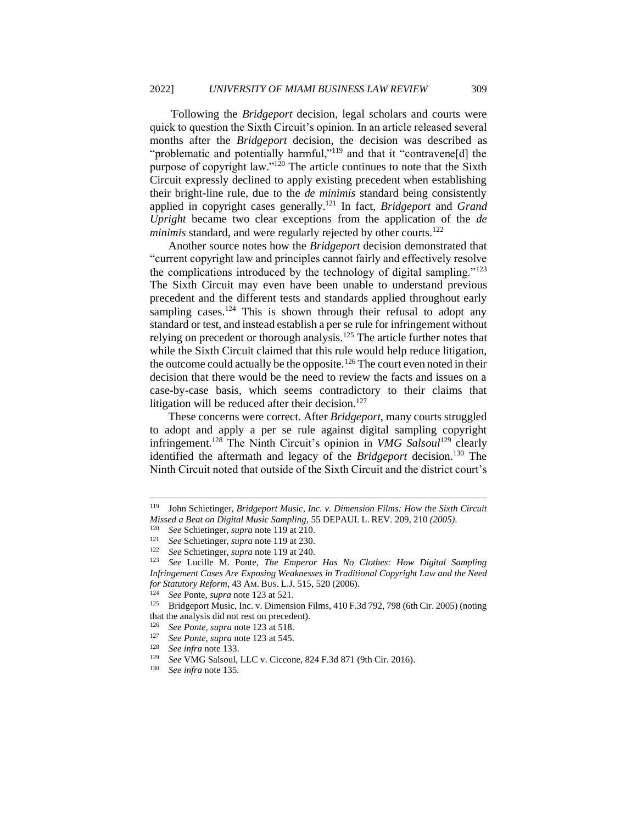*'*Following the *Bridgeport* decision, legal scholars and courts were quick to question the Sixth Circuit's opinion. In an article released several months after the *Bridgeport* decision, the decision was described as "problematic and potentially harmful,"<sup>119</sup> and that it "contravene[d] the purpose of copyright law."<sup>120</sup> The article continues to note that the Sixth Circuit expressly declined to apply existing precedent when establishing their bright-line rule, due to the *de minimis* standard being consistently applied in copyright cases generally.<sup>121</sup> In fact, *Bridgeport* and *Grand Upright* became two clear exceptions from the application of the *de minimis* standard, and were regularly rejected by other courts.<sup>122</sup>

Another source notes how the *Bridgeport* decision demonstrated that "current copyright law and principles cannot fairly and effectively resolve the complications introduced by the technology of digital sampling."<sup>123</sup> The Sixth Circuit may even have been unable to understand previous precedent and the different tests and standards applied throughout early sampling cases.<sup>124</sup> This is shown through their refusal to adopt any standard or test, and instead establish a per se rule for infringement without relying on precedent or thorough analysis.<sup>125</sup> The article further notes that while the Sixth Circuit claimed that this rule would help reduce litigation, the outcome could actually be the opposite.<sup>126</sup> The court even noted in their decision that there would be the need to review the facts and issues on a case-by-case basis, which seems contradictory to their claims that litigation will be reduced after their decision.<sup>127</sup>

These concerns were correct. After *Bridgeport*, many courts struggled to adopt and apply a per se rule against digital sampling copyright infringement.<sup>128</sup> The Ninth Circuit's opinion in *VMG Salsoul*<sup>129</sup> clearly identified the aftermath and legacy of the *Bridgeport* decision.<sup>130</sup> The Ninth Circuit noted that outside of the Sixth Circuit and the district court's

<sup>119</sup> John Schietinger*, Bridgeport Music, Inc. v. Dimension Films: How the Sixth Circuit Missed a Beat on Digital Music Sampling,* 55 DEPAUL L. REV. 209, 210 *(2005)*.

<sup>120</sup> *See* Schietinger, *supra* note 119 at 210.

<sup>121</sup> *See* Schietinger, *supra* note 119 at 230.

<sup>122</sup> *See* Schietinger, *supra* note 119 at 240.

<sup>123</sup> *See* Lucille M. Ponte, *The Emperor Has No Clothes: How Digital Sampling Infringement Cases Are Exposing Weaknesses in Traditional Copyright Law and the Need for Statutory Reform*, 43 AM. BUS. L.J. 515, 520 (2006).

<sup>124</sup> *See* Ponte, *supra* note 123 at 521.

<sup>&</sup>lt;sup>125</sup> Bridgeport Music, Inc. v. Dimension Films, 410 F.3d 792, 798 (6th Cir. 2005) (noting that the analysis did not rest on precedent).

<sup>&</sup>lt;sup>126</sup> *See Ponte, supra* note 123 at 518.<br><sup>127</sup> *See Ponte, supra* note 123 at 545.

<sup>127</sup> *See Ponte*, *supra* note 123 at 545.

<sup>128</sup> *See infra* note 133.

<sup>129</sup> *See* VMG Salsoul, LLC v. Ciccone*,* 824 F.3d 871 (9th Cir. 2016).

See infra note 135.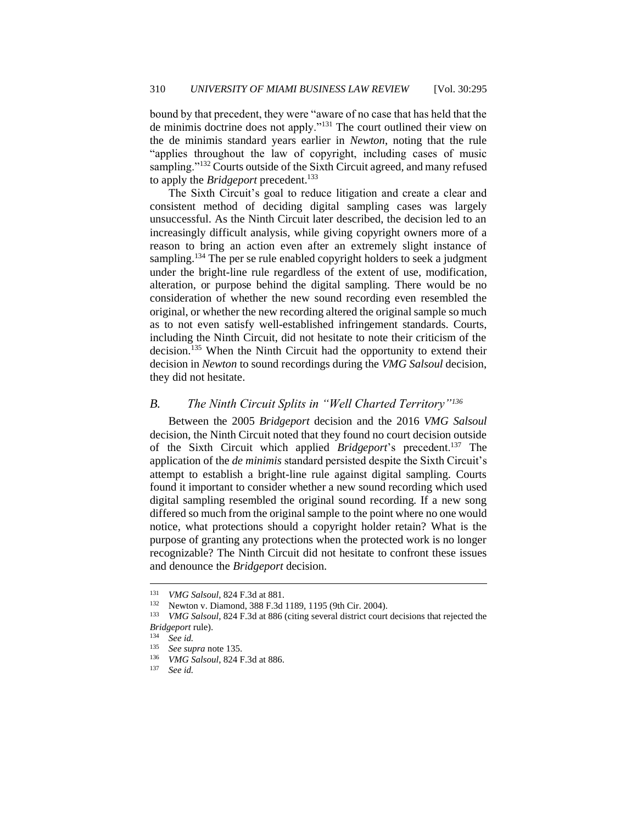bound by that precedent, they were "aware of no case that has held that the de minimis doctrine does not apply."<sup>131</sup> The court outlined their view on the de minimis standard years earlier in *Newton*, noting that the rule "applies throughout the law of copyright, including cases of music sampling."<sup>132</sup> Courts outside of the Sixth Circuit agreed, and many refused to apply the *Bridgeport* precedent.<sup>133</sup>

The Sixth Circuit's goal to reduce litigation and create a clear and consistent method of deciding digital sampling cases was largely unsuccessful. As the Ninth Circuit later described, the decision led to an increasingly difficult analysis, while giving copyright owners more of a reason to bring an action even after an extremely slight instance of sampling.<sup>134</sup> The per se rule enabled copyright holders to seek a judgment under the bright-line rule regardless of the extent of use, modification, alteration, or purpose behind the digital sampling. There would be no consideration of whether the new sound recording even resembled the original, or whether the new recording altered the original sample so much as to not even satisfy well-established infringement standards. Courts, including the Ninth Circuit, did not hesitate to note their criticism of the decision.<sup>135</sup> When the Ninth Circuit had the opportunity to extend their decision in *Newton* to sound recordings during the *VMG Salsoul* decision, they did not hesitate.

#### <span id="page-16-0"></span>*B. The Ninth Circuit Splits in "Well Charted Territory"<sup>136</sup>*

Between the 2005 *Bridgeport* decision and the 2016 *VMG Salsoul*  decision, the Ninth Circuit noted that they found no court decision outside of the Sixth Circuit which applied *Bridgeport*'s precedent.<sup>137</sup> The application of the *de minimis* standard persisted despite the Sixth Circuit's attempt to establish a bright-line rule against digital sampling. Courts found it important to consider whether a new sound recording which used digital sampling resembled the original sound recording. If a new song differed so much from the original sample to the point where no one would notice, what protections should a copyright holder retain? What is the purpose of granting any protections when the protected work is no longer recognizable? The Ninth Circuit did not hesitate to confront these issues and denounce the *Bridgeport* decision.

<sup>131</sup> *VMG Salsoul*, 824 F.3d at 881.

<sup>132</sup> Newton v. Diamond, 388 F.3d 1189, 1195 (9th Cir. 2004).

<sup>133</sup> *VMG Salsoul*, 824 F.3d at 886 (citing several district court decisions that rejected the *Bridgeport* rule).

<sup>134</sup> *See id.*

<sup>135</sup> *See supra* note 135.

<sup>&</sup>lt;sup>136</sup> *VMG Salsoul*, 824 F.3d at 886.

See id.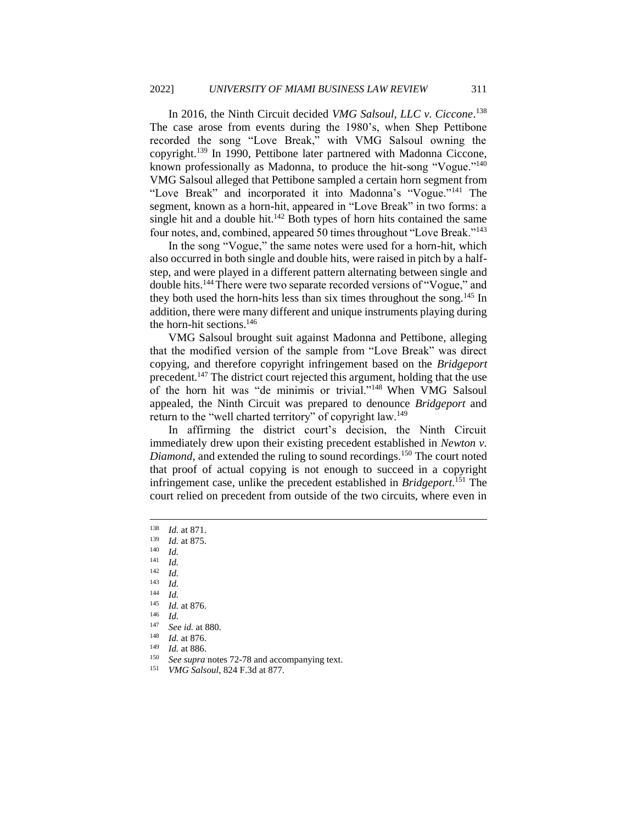In 2016, the Ninth Circuit decided *VMG Salsoul, LLC v. Ciccone*. 138 The case arose from events during the 1980's, when Shep Pettibone recorded the song "Love Break," with VMG Salsoul owning the copyright.<sup>139</sup> In 1990, Pettibone later partnered with Madonna Ciccone, known professionally as Madonna, to produce the hit-song "Vogue."<sup>140</sup> VMG Salsoul alleged that Pettibone sampled a certain horn segment from "Love Break" and incorporated it into Madonna's "Vogue."<sup>141</sup> The segment, known as a horn-hit, appeared in "Love Break" in two forms: a single hit and a double hit. $142$  Both types of horn hits contained the same four notes, and, combined, appeared 50 times throughout "Love Break."<sup>143</sup>

In the song "Vogue," the same notes were used for a horn-hit, which also occurred in both single and double hits, were raised in pitch by a halfstep, and were played in a different pattern alternating between single and double hits.<sup>144</sup>There were two separate recorded versions of "Vogue," and they both used the horn-hits less than six times throughout the song.<sup>145</sup> In addition, there were many different and unique instruments playing during the horn-hit sections.<sup>146</sup>

VMG Salsoul brought suit against Madonna and Pettibone, alleging that the modified version of the sample from "Love Break" was direct copying, and therefore copyright infringement based on the *Bridgeport*  precedent.<sup>147</sup> The district court rejected this argument, holding that the use of the horn hit was "de minimis or trivial."<sup>148</sup> When VMG Salsoul appealed, the Ninth Circuit was prepared to denounce *Bridgeport* and return to the "well charted territory" of copyright law.<sup>149</sup>

In affirming the district court's decision, the Ninth Circuit immediately drew upon their existing precedent established in *Newton v. Diamond*, and extended the ruling to sound recordings.<sup>150</sup> The court noted that proof of actual copying is not enough to succeed in a copyright infringement case, unlike the precedent established in *Bridgeport*. <sup>151</sup> The court relied on precedent from outside of the two circuits, where even in

<sup>150</sup> *See supra* notes 72-78 and accompanying text.<br><sup>151</sup> *VMC Selsoul*, 824 E 2d at 877

<sup>138</sup> *Id.* at 871.

 $\frac{139}{140}$  *Id.* at 875.

 $\frac{140}{141}$  *Id.* 

 $\frac{141}{142}$  *Id.* 

 $\frac{142}{143}$  *Id.* 

 $\frac{143}{144}$  *Id.* 

 $\frac{144}{145}$  *Id. Id.* at 876.

 $\frac{146}{147}$  *Id.* 

<sup>147</sup> *See id.* at 880. *Id.* at 876.

<sup>149</sup> *Id.* at 886.

<sup>151</sup> *VMG Salsoul*, 824 F.3d at 877.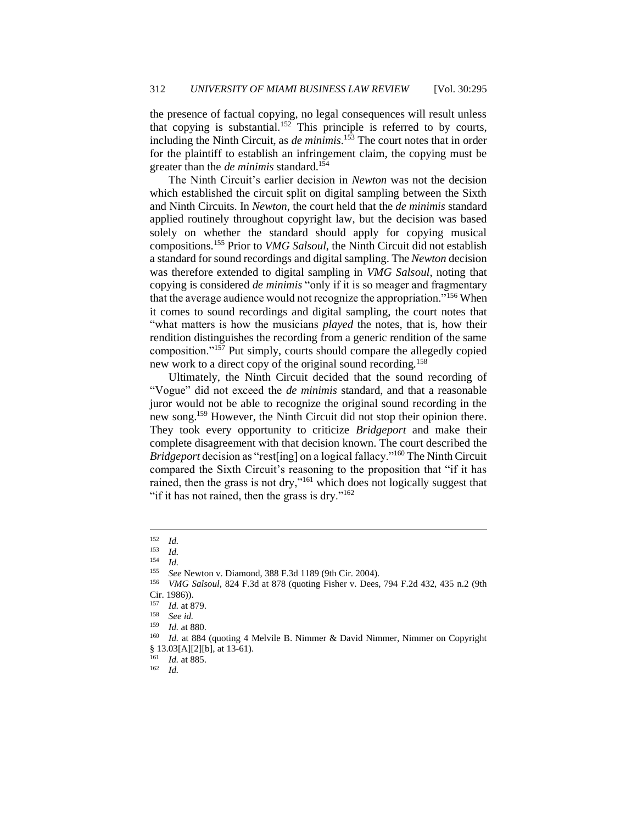the presence of factual copying, no legal consequences will result unless that copying is substantial.<sup>152</sup> This principle is referred to by courts, including the Ninth Circuit, as *de minimis*. <sup>153</sup> The court notes that in order for the plaintiff to establish an infringement claim, the copying must be greater than the *de minimis* standard.<sup>154</sup>

The Ninth Circuit's earlier decision in *Newton* was not the decision which established the circuit split on digital sampling between the Sixth and Ninth Circuits. In *Newton*, the court held that the *de minimis* standard applied routinely throughout copyright law, but the decision was based solely on whether the standard should apply for copying musical compositions.<sup>155</sup> Prior to *VMG Salsoul*, the Ninth Circuit did not establish a standard for sound recordings and digital sampling. The *Newton* decision was therefore extended to digital sampling in *VMG Salsoul*, noting that copying is considered *de minimis* "only if it is so meager and fragmentary that the average audience would not recognize the appropriation."<sup>156</sup> When it comes to sound recordings and digital sampling, the court notes that "what matters is how the musicians *played* the notes, that is, how their rendition distinguishes the recording from a generic rendition of the same composition."<sup>157</sup> Put simply, courts should compare the allegedly copied new work to a direct copy of the original sound recording.<sup>158</sup>

Ultimately, the Ninth Circuit decided that the sound recording of "Vogue" did not exceed the *de minimis* standard, and that a reasonable juror would not be able to recognize the original sound recording in the new song.<sup>159</sup> However, the Ninth Circuit did not stop their opinion there. They took every opportunity to criticize *Bridgeport* and make their complete disagreement with that decision known. The court described the *Bridgeport* decision as "rest[ing] on a logical fallacy."<sup>160</sup> The Ninth Circuit compared the Sixth Circuit's reasoning to the proposition that "if it has rained, then the grass is not dry,"<sup>161</sup> which does not logically suggest that "if it has not rained, then the grass is dry." $162$ 

<sup>162</sup> *Id.*

 $\frac{152}{153}$  *Id.* 

<sup>153</sup> *Id.*

 $\frac{154}{155}$  *Id.* 

<sup>155</sup> *See* Newton v. Diamond, 388 F.3d 1189 (9th Cir. 2004).

<sup>156</sup> *VMG Salsoul,* 824 F.3d at 878 (quoting Fisher v. Dees, 794 F.2d 432, 435 n.2 (9th Cir. 1986)).

<sup>157</sup> *Id.* at 879.

<sup>158</sup> *See id.*

*Id.* at 880.

<sup>&</sup>lt;sup>160</sup> *Id.* at 884 (quoting 4 Melvile B. Nimmer & David Nimmer, Nimmer on Copyright § 13.03[A][2][b], at 13-61).

<sup>161</sup> *Id.* at 885.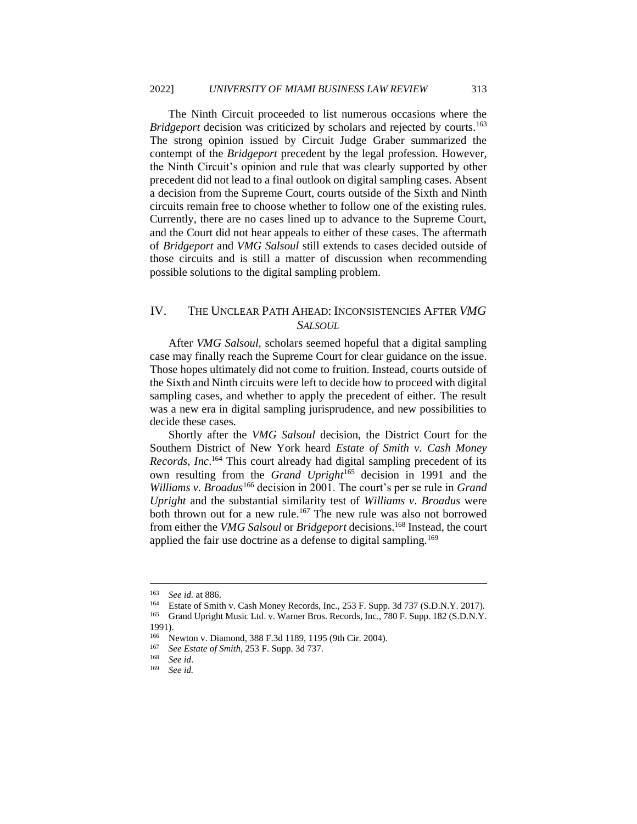The Ninth Circuit proceeded to list numerous occasions where the *Bridgeport* decision was criticized by scholars and rejected by courts.<sup>163</sup> The strong opinion issued by Circuit Judge Graber summarized the contempt of the *Bridgeport* precedent by the legal profession. However, the Ninth Circuit's opinion and rule that was clearly supported by other precedent did not lead to a final outlook on digital sampling cases. Absent a decision from the Supreme Court, courts outside of the Sixth and Ninth circuits remain free to choose whether to follow one of the existing rules. Currently, there are no cases lined up to advance to the Supreme Court, and the Court did not hear appeals to either of these cases. The aftermath of *Bridgeport* and *VMG Salsoul* still extends to cases decided outside of those circuits and is still a matter of discussion when recommending possible solutions to the digital sampling problem.

#### <span id="page-19-0"></span>IV. THE UNCLEAR PATH AHEAD: INCONSISTENCIES AFTER *VMG SALSOUL*

After *VMG Salsoul,* scholars seemed hopeful that a digital sampling case may finally reach the Supreme Court for clear guidance on the issue. Those hopes ultimately did not come to fruition. Instead, courts outside of the Sixth and Ninth circuits were left to decide how to proceed with digital sampling cases, and whether to apply the precedent of either. The result was a new era in digital sampling jurisprudence, and new possibilities to decide these cases.

Shortly after the *VMG Salsoul* decision, the District Court for the Southern District of New York heard *Estate of Smith v. Cash Money Records, Inc*. <sup>164</sup> This court already had digital sampling precedent of its own resulting from the *Grand Upright*<sup>165</sup> decision in 1991 and the *Williams v. Broadus*<sup>166</sup> decision in 2001. The court's per se rule in *Grand Upright* and the substantial similarity test of *Williams v. Broadus* were both thrown out for a new rule.<sup>167</sup> The new rule was also not borrowed from either the *VMG Salsoul* or *Bridgeport* decisions.<sup>168</sup> Instead, the court applied the fair use doctrine as a defense to digital sampling.<sup>169</sup>

<sup>163</sup> *See id.* at 886.

<sup>164</sup> Estate of Smith v. Cash Money Records, Inc., 253 F. Supp. 3d 737 (S.D.N.Y. 2017).

<sup>&</sup>lt;sup>165</sup> Grand Upright Music Ltd. v. Warner Bros. Records, Inc., 780 F. Supp. 182 (S.D.N.Y. 1991).

<sup>166</sup> Newton v. Diamond, 388 F.3d 1189, 1195 (9th Cir. 2004).

<sup>167</sup> *See Estate of Smith*, 253 F. Supp. 3d 737.

<sup>168</sup> *See id*.

See id.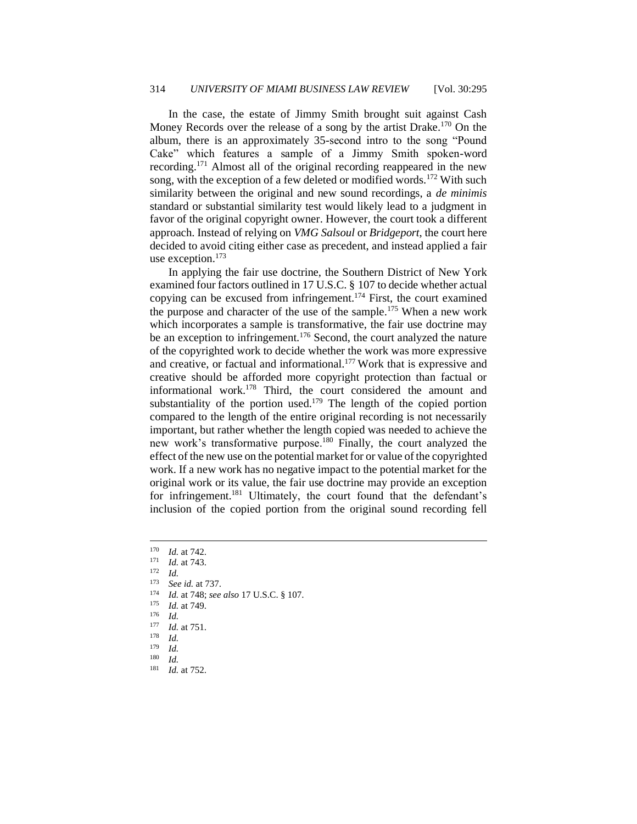In the case, the estate of Jimmy Smith brought suit against Cash Money Records over the release of a song by the artist Drake.<sup>170</sup> On the album, there is an approximately 35-second intro to the song "Pound Cake" which features a sample of a Jimmy Smith spoken-word recording.<sup>171</sup> Almost all of the original recording reappeared in the new song, with the exception of a few deleted or modified words.<sup>172</sup> With such similarity between the original and new sound recordings, a *de minimis*  standard or substantial similarity test would likely lead to a judgment in favor of the original copyright owner. However, the court took a different approach. Instead of relying on *VMG Salsoul* or *Bridgeport*, the court here decided to avoid citing either case as precedent, and instead applied a fair use exception. $173$ 

In applying the fair use doctrine, the Southern District of New York examined four factors outlined in 17 U.S.C. § 107 to decide whether actual copying can be excused from infringement.<sup>174</sup> First, the court examined the purpose and character of the use of the sample.<sup>175</sup> When a new work which incorporates a sample is transformative, the fair use doctrine may be an exception to infringement.<sup>176</sup> Second, the court analyzed the nature of the copyrighted work to decide whether the work was more expressive and creative, or factual and informational.<sup>177</sup> Work that is expressive and creative should be afforded more copyright protection than factual or informational work.<sup>178</sup> Third, the court considered the amount and substantiality of the portion used.<sup>179</sup> The length of the copied portion compared to the length of the entire original recording is not necessarily important, but rather whether the length copied was needed to achieve the new work's transformative purpose.<sup>180</sup> Finally, the court analyzed the effect of the new use on the potential market for or value of the copyrighted work. If a new work has no negative impact to the potential market for the original work or its value, the fair use doctrine may provide an exception for infringement.<sup>181</sup> Ultimately, the court found that the defendant's inclusion of the copied portion from the original sound recording fell

 $\frac{172}{173}$  *Id.* 

- <sup>173</sup> *See id.* at 737.
- <sup>174</sup> *Id.* at 748; *see also* 17 U.S.C. § 107.
- <sup>175</sup> *Id.* at 749.
- $\frac{176}{177}$  *Id.*
- $\frac{177}{178}$  *Id.* at 751.
- *Id.*
- $\frac{179}{180}$  *Id.*
- $\frac{180}{181}$  *Id.*
- *Id.* at 752.

 $\frac{170}{171}$  *Id.* at 742.

 $\frac{171}{172}$  *Id.* at 743.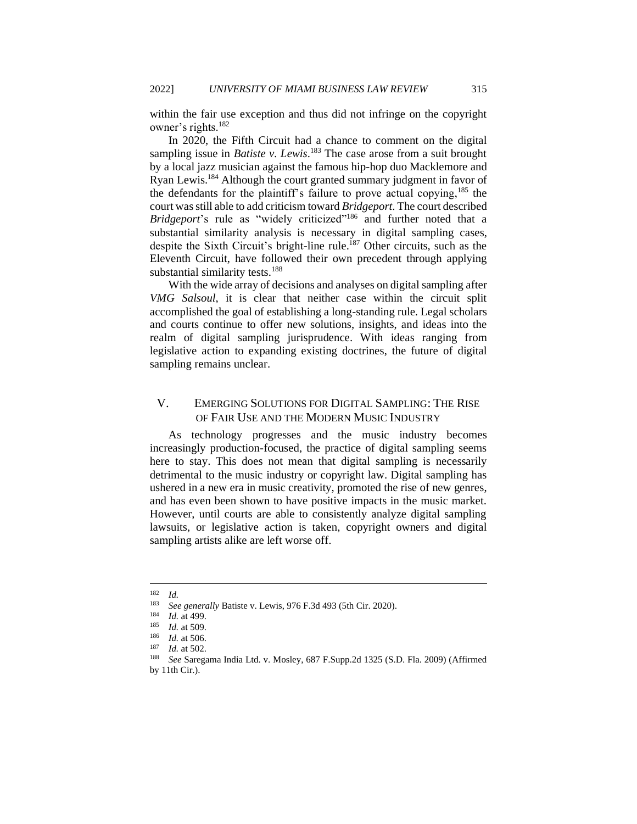within the fair use exception and thus did not infringe on the copyright owner's rights.<sup>182</sup>

In 2020, the Fifth Circuit had a chance to comment on the digital sampling issue in *Batiste v. Lewis*. <sup>183</sup> The case arose from a suit brought by a local jazz musician against the famous hip-hop duo Macklemore and Ryan Lewis.<sup>184</sup> Although the court granted summary judgment in favor of the defendants for the plaintiff's failure to prove actual copying,  $185$  the court was still able to add criticism toward *Bridgeport*. The court described *Bridgeport's* rule as "widely criticized"<sup>186</sup> and further noted that a substantial similarity analysis is necessary in digital sampling cases, despite the Sixth Circuit's bright-line rule.<sup>187</sup> Other circuits, such as the Eleventh Circuit, have followed their own precedent through applying substantial similarity tests.<sup>188</sup>

With the wide array of decisions and analyses on digital sampling after *VMG Salsoul*, it is clear that neither case within the circuit split accomplished the goal of establishing a long-standing rule. Legal scholars and courts continue to offer new solutions, insights, and ideas into the realm of digital sampling jurisprudence. With ideas ranging from legislative action to expanding existing doctrines, the future of digital sampling remains unclear.

## <span id="page-21-0"></span>V. EMERGING SOLUTIONS FOR DIGITAL SAMPLING: THE RISE OF FAIR USE AND THE MODERN MUSIC INDUSTRY

As technology progresses and the music industry becomes increasingly production-focused, the practice of digital sampling seems here to stay. This does not mean that digital sampling is necessarily detrimental to the music industry or copyright law. Digital sampling has ushered in a new era in music creativity, promoted the rise of new genres, and has even been shown to have positive impacts in the music market. However, until courts are able to consistently analyze digital sampling lawsuits, or legislative action is taken, copyright owners and digital sampling artists alike are left worse off.

 $\frac{182}{183}$  *Id.* 

<sup>183</sup> *See generally* Batiste v. Lewis, 976 F.3d 493 (5th Cir. 2020).

 $\frac{184}{185}$  *Id.* at 499.

*Id.* at 509.

<sup>186</sup> *Id.* at 506.

<sup>187</sup> *Id.* at 502.

<sup>188</sup> *See* Saregama India Ltd. v. Mosley, 687 F.Supp.2d 1325 (S.D. Fla. 2009) (Affirmed by 11th Cir.).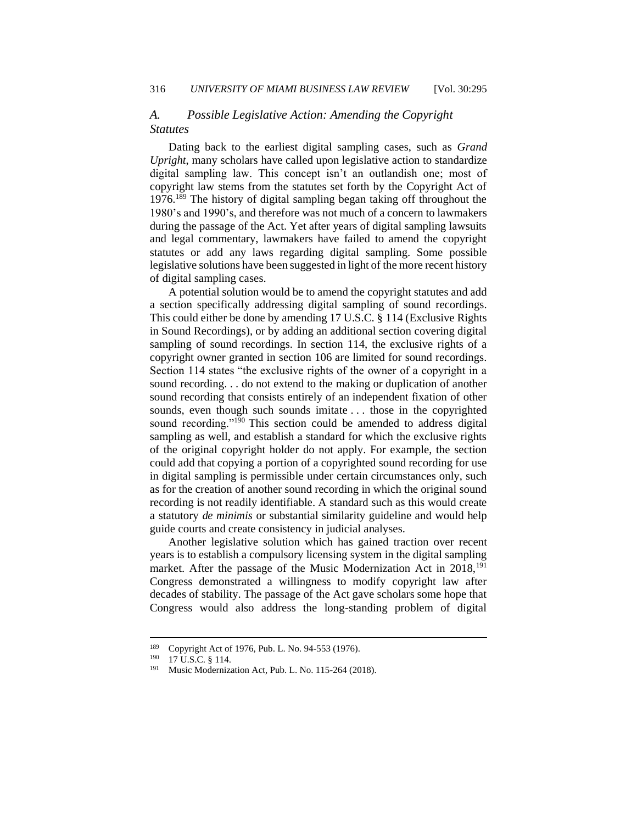## <span id="page-22-0"></span>*A. Possible Legislative Action: Amending the Copyright Statutes*

Dating back to the earliest digital sampling cases, such as *Grand Upright*, many scholars have called upon legislative action to standardize digital sampling law. This concept isn't an outlandish one; most of copyright law stems from the statutes set forth by the Copyright Act of 1976.<sup>189</sup> The history of digital sampling began taking off throughout the 1980's and 1990's, and therefore was not much of a concern to lawmakers during the passage of the Act. Yet after years of digital sampling lawsuits and legal commentary, lawmakers have failed to amend the copyright statutes or add any laws regarding digital sampling. Some possible legislative solutions have been suggested in light of the more recent history of digital sampling cases.

A potential solution would be to amend the copyright statutes and add a section specifically addressing digital sampling of sound recordings. This could either be done by amending 17 U.S.C. § 114 (Exclusive Rights in Sound Recordings), or by adding an additional section covering digital sampling of sound recordings. In section 114, the exclusive rights of a copyright owner granted in section 106 are limited for sound recordings. Section 114 states "the exclusive rights of the owner of a copyright in a sound recording. . . do not extend to the making or duplication of another sound recording that consists entirely of an independent fixation of other sounds, even though such sounds imitate . . . those in the copyrighted sound recording."<sup>190</sup> This section could be amended to address digital sampling as well, and establish a standard for which the exclusive rights of the original copyright holder do not apply. For example, the section could add that copying a portion of a copyrighted sound recording for use in digital sampling is permissible under certain circumstances only, such as for the creation of another sound recording in which the original sound recording is not readily identifiable. A standard such as this would create a statutory *de minimis* or substantial similarity guideline and would help guide courts and create consistency in judicial analyses.

Another legislative solution which has gained traction over recent years is to establish a compulsory licensing system in the digital sampling market. After the passage of the Music Modernization Act in  $2018$ , <sup>191</sup> Congress demonstrated a willingness to modify copyright law after decades of stability. The passage of the Act gave scholars some hope that Congress would also address the long-standing problem of digital

<sup>&</sup>lt;sup>189</sup> Copyright Act of 1976, Pub. L. No. 94-553 (1976).<br><sup>190</sup> 17 U S C  $\pm$  3 114

 $^{190}$  17 U.S.C. § 114.<br> $^{191}$  Music Moderniz:

Music Modernization Act, Pub. L. No. 115-264 (2018).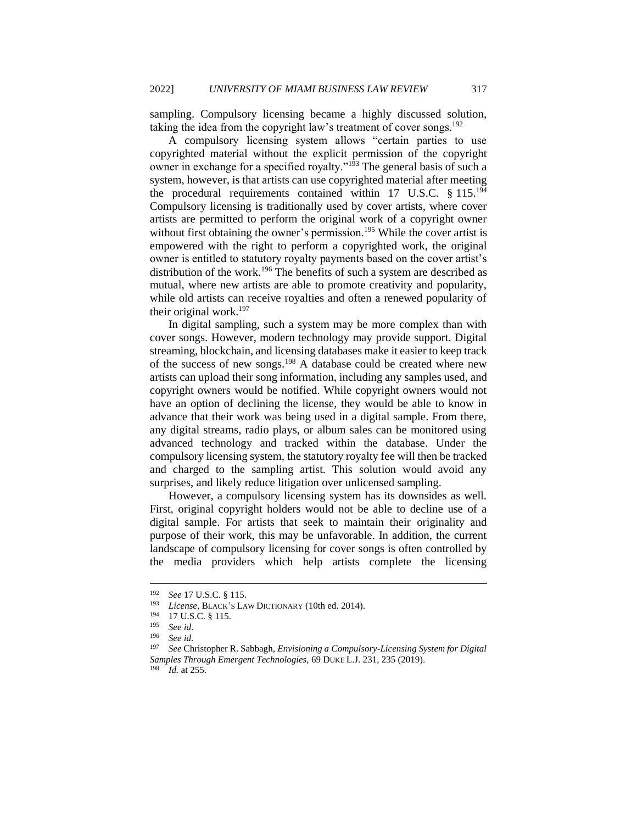sampling. Compulsory licensing became a highly discussed solution, taking the idea from the copyright law's treatment of cover songs.<sup>192</sup>

A compulsory licensing system allows "certain parties to use copyrighted material without the explicit permission of the copyright owner in exchange for a specified royalty."<sup>193</sup> The general basis of such a system, however, is that artists can use copyrighted material after meeting the procedural requirements contained within 17 U.S.C. § 115.<sup>194</sup> Compulsory licensing is traditionally used by cover artists, where cover artists are permitted to perform the original work of a copyright owner without first obtaining the owner's permission.<sup>195</sup> While the cover artist is empowered with the right to perform a copyrighted work, the original owner is entitled to statutory royalty payments based on the cover artist's distribution of the work.<sup>196</sup> The benefits of such a system are described as mutual, where new artists are able to promote creativity and popularity, while old artists can receive royalties and often a renewed popularity of their original work.<sup>197</sup>

In digital sampling, such a system may be more complex than with cover songs. However, modern technology may provide support. Digital streaming, blockchain, and licensing databases make it easier to keep track of the success of new songs.<sup>198</sup> A database could be created where new artists can upload their song information, including any samples used, and copyright owners would be notified. While copyright owners would not have an option of declining the license, they would be able to know in advance that their work was being used in a digital sample. From there, any digital streams, radio plays, or album sales can be monitored using advanced technology and tracked within the database. Under the compulsory licensing system, the statutory royalty fee will then be tracked and charged to the sampling artist. This solution would avoid any surprises, and likely reduce litigation over unlicensed sampling.

However, a compulsory licensing system has its downsides as well. First, original copyright holders would not be able to decline use of a digital sample. For artists that seek to maintain their originality and purpose of their work, this may be unfavorable. In addition, the current landscape of compulsory licensing for cover songs is often controlled by the media providers which help artists complete the licensing

<sup>192</sup> *See* 17 U.S.C. § 115.

<sup>&</sup>lt;sup>193</sup> *License*, BLACK's LAW DICTIONARY (10th ed. 2014).

 $^{194}$  17 U.S.C. § 115.<br>195 Section

<sup>195</sup> *See id*.

<sup>196</sup> *See id*.

<sup>197</sup> *See* Christopher R. Sabbagh, *Envisioning a Compulsory-Licensing System for Digital Samples Through Emergent Technologies*, 69 DUKE L.J. 231, 235 (2019).

<sup>198</sup> *Id.* at 255.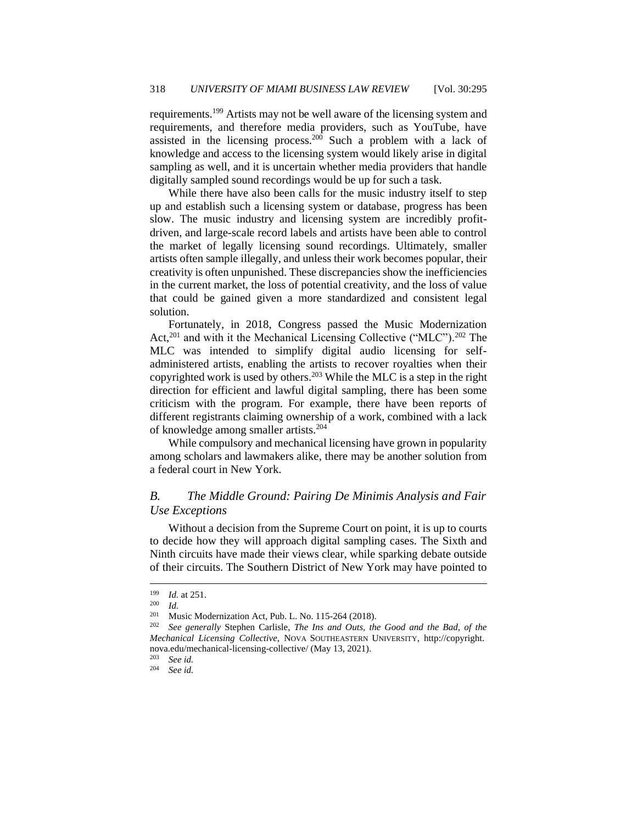requirements.<sup>199</sup> Artists may not be well aware of the licensing system and requirements, and therefore media providers, such as YouTube, have assisted in the licensing process.<sup>200</sup> Such a problem with a lack of knowledge and access to the licensing system would likely arise in digital sampling as well, and it is uncertain whether media providers that handle digitally sampled sound recordings would be up for such a task.

While there have also been calls for the music industry itself to step up and establish such a licensing system or database, progress has been slow. The music industry and licensing system are incredibly profitdriven, and large-scale record labels and artists have been able to control the market of legally licensing sound recordings. Ultimately, smaller artists often sample illegally, and unless their work becomes popular, their creativity is often unpunished. These discrepancies show the inefficiencies in the current market, the loss of potential creativity, and the loss of value that could be gained given a more standardized and consistent legal solution.

Fortunately, in 2018, Congress passed the Music Modernization Act,<sup>201</sup> and with it the Mechanical Licensing Collective ("MLC").<sup>202</sup> The MLC was intended to simplify digital audio licensing for selfadministered artists, enabling the artists to recover royalties when their copyrighted work is used by others.<sup>203</sup> While the MLC is a step in the right direction for efficient and lawful digital sampling, there has been some criticism with the program. For example, there have been reports of different registrants claiming ownership of a work, combined with a lack of knowledge among smaller artists.<sup>204</sup>

While compulsory and mechanical licensing have grown in popularity among scholars and lawmakers alike, there may be another solution from a federal court in New York.

#### <span id="page-24-0"></span>*B. The Middle Ground: Pairing De Minimis Analysis and Fair Use Exceptions*

Without a decision from the Supreme Court on point, it is up to courts to decide how they will approach digital sampling cases. The Sixth and Ninth circuits have made their views clear, while sparking debate outside of their circuits. The Southern District of New York may have pointed to

<sup>203</sup> *See id.*

<sup>204</sup> *See id.*

<sup>199</sup> *Id.* at 251.

 $\frac{200}{201}$  *Id.* 

Music Modernization Act, Pub. L. No. 115-264 (2018).

<sup>202</sup> *See generally* Stephen Carlisle, *The Ins and Outs, the Good and the Bad, of the Mechanical Licensing Collective*, NOVA SOUTHEASTERN UNIVERSITY, http://copyright. nova.edu/mechanical-licensing-collective/ (May 13, 2021).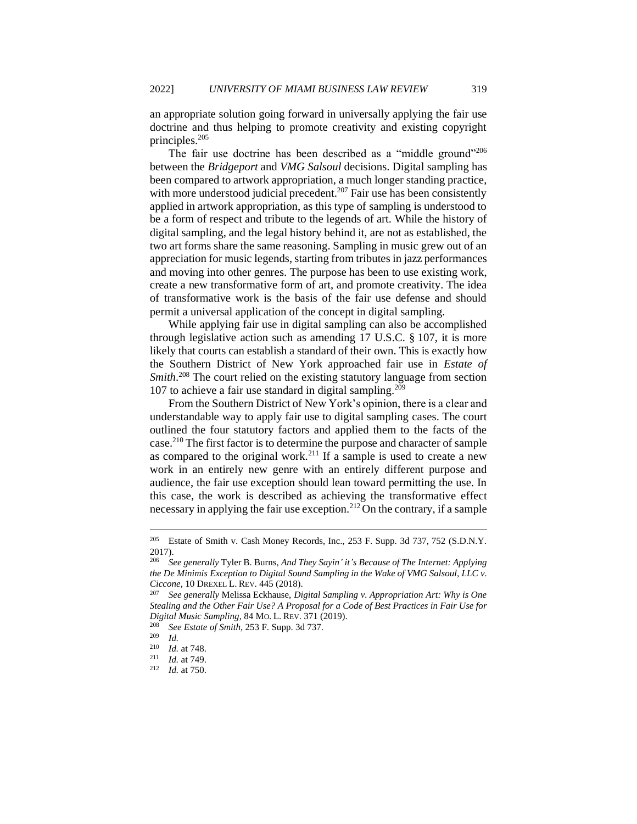an appropriate solution going forward in universally applying the fair use doctrine and thus helping to promote creativity and existing copyright principles.<sup>205</sup>

The fair use doctrine has been described as a "middle ground"<sup>206</sup> between the *Bridgeport* and *VMG Salsoul* decisions. Digital sampling has been compared to artwork appropriation, a much longer standing practice, with more understood judicial precedent.<sup>207</sup> Fair use has been consistently applied in artwork appropriation, as this type of sampling is understood to be a form of respect and tribute to the legends of art. While the history of digital sampling, and the legal history behind it, are not as established, the two art forms share the same reasoning. Sampling in music grew out of an appreciation for music legends, starting from tributes in jazz performances and moving into other genres. The purpose has been to use existing work, create a new transformative form of art, and promote creativity. The idea of transformative work is the basis of the fair use defense and should permit a universal application of the concept in digital sampling.

While applying fair use in digital sampling can also be accomplished through legislative action such as amending 17 U.S.C. § 107, it is more likely that courts can establish a standard of their own. This is exactly how the Southern District of New York approached fair use in *Estate of Smith*. <sup>208</sup> The court relied on the existing statutory language from section 107 to achieve a fair use standard in digital sampling.<sup>209</sup>

From the Southern District of New York's opinion, there is a clear and understandable way to apply fair use to digital sampling cases. The court outlined the four statutory factors and applied them to the facts of the case.<sup>210</sup> The first factor is to determine the purpose and character of sample as compared to the original work.<sup>211</sup> If a sample is used to create a new work in an entirely new genre with an entirely different purpose and audience, the fair use exception should lean toward permitting the use. In this case, the work is described as achieving the transformative effect necessary in applying the fair use exception.<sup>212</sup> On the contrary, if a sample

<sup>205</sup> Estate of Smith v. Cash Money Records, Inc., 253 F. Supp. 3d 737, 752 (S.D.N.Y. 2017).

<sup>206</sup> *See generally* Tyler B. Burns, *And They Sayin' it's Because of The Internet: Applying the De Minimis Exception to Digital Sound Sampling in the Wake of VMG Salsoul, LLC v. Ciccone*, 10 DREXEL L. REV. 445 (2018).<br><sup>207</sup> See generally Melissa Eckhause. Di

<sup>207</sup> *See generally* Melissa Eckhause, *Digital Sampling v. Appropriation Art: Why is One Stealing and the Other Fair Use? A Proposal for a Code of Best Practices in Fair Use for Digital Music Sampling*, 84 MO. L. REV. 371 (2019).

<sup>208</sup> *See Estate of Smith*, 253 F. Supp. 3d 737.

*Id.* 

 $\frac{210}{211}$  *Id.* at 748.

 $\frac{211}{212}$  *Id.* at 749.

*Id.* at 750.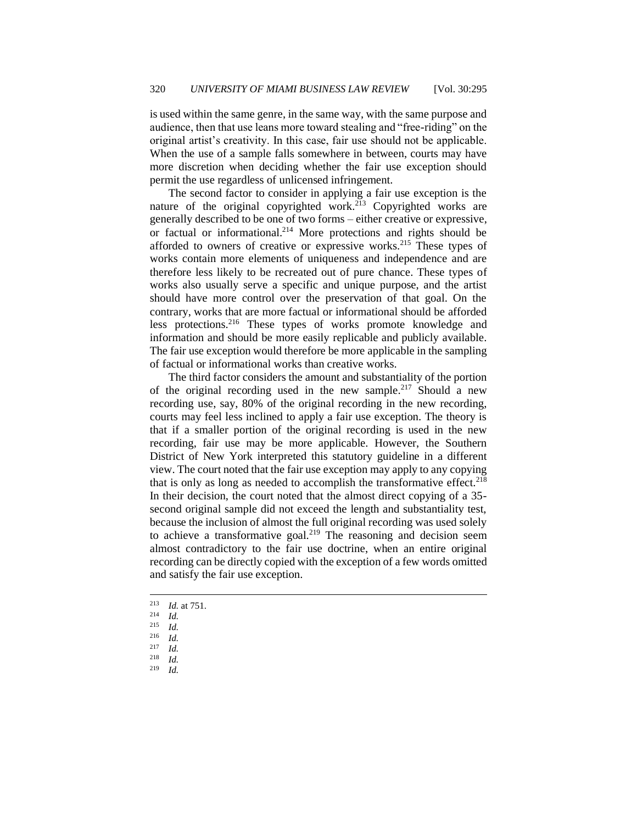is used within the same genre, in the same way, with the same purpose and audience, then that use leans more toward stealing and "free-riding" on the original artist's creativity. In this case, fair use should not be applicable. When the use of a sample falls somewhere in between, courts may have more discretion when deciding whether the fair use exception should permit the use regardless of unlicensed infringement.

The second factor to consider in applying a fair use exception is the nature of the original copyrighted work.<sup>213</sup> Copyrighted works are generally described to be one of two forms – either creative or expressive, or factual or informational.<sup>214</sup> More protections and rights should be afforded to owners of creative or expressive works.<sup>215</sup> These types of works contain more elements of uniqueness and independence and are therefore less likely to be recreated out of pure chance. These types of works also usually serve a specific and unique purpose, and the artist should have more control over the preservation of that goal. On the contrary, works that are more factual or informational should be afforded less protections.<sup>216</sup> These types of works promote knowledge and information and should be more easily replicable and publicly available. The fair use exception would therefore be more applicable in the sampling of factual or informational works than creative works.

The third factor considers the amount and substantiality of the portion of the original recording used in the new sample.<sup>217</sup> Should a new recording use, say, 80% of the original recording in the new recording, courts may feel less inclined to apply a fair use exception. The theory is that if a smaller portion of the original recording is used in the new recording, fair use may be more applicable. However, the Southern District of New York interpreted this statutory guideline in a different view. The court noted that the fair use exception may apply to any copying that is only as long as needed to accomplish the transformative effect.<sup>218</sup> In their decision, the court noted that the almost direct copying of a 35 second original sample did not exceed the length and substantiality test, because the inclusion of almost the full original recording was used solely to achieve a transformative goal.<sup>219</sup> The reasoning and decision seem almost contradictory to the fair use doctrine, when an entire original recording can be directly copied with the exception of a few words omitted and satisfy the fair use exception.

- <sup>213</sup> *Id.* at 751.
- $\frac{214}{215}$  *Id.*
- $\frac{215}{216}$  *Id.*
- <sup>216</sup> *Id.*
- $\frac{217}{218}$  *Id.*
- $\frac{218}{219}$  *Id.*
- *Id.*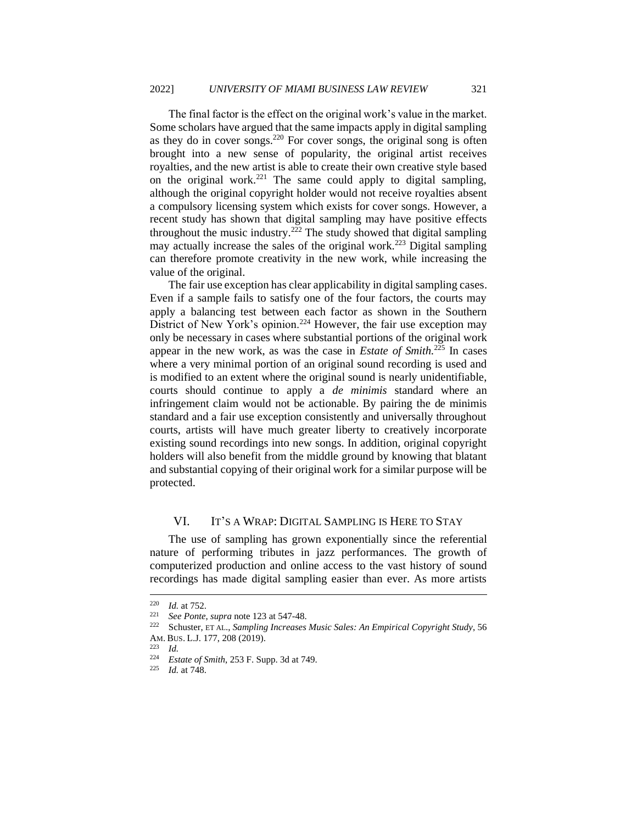The final factor is the effect on the original work's value in the market. Some scholars have argued that the same impacts apply in digital sampling as they do in cover songs.<sup>220</sup> For cover songs, the original song is often brought into a new sense of popularity, the original artist receives royalties, and the new artist is able to create their own creative style based on the original work.<sup>221</sup> The same could apply to digital sampling, although the original copyright holder would not receive royalties absent a compulsory licensing system which exists for cover songs. However, a recent study has shown that digital sampling may have positive effects throughout the music industry.<sup>222</sup> The study showed that digital sampling may actually increase the sales of the original work.<sup>223</sup> Digital sampling can therefore promote creativity in the new work, while increasing the value of the original.

The fair use exception has clear applicability in digital sampling cases. Even if a sample fails to satisfy one of the four factors, the courts may apply a balancing test between each factor as shown in the Southern District of New York's opinion.<sup>224</sup> However, the fair use exception may only be necessary in cases where substantial portions of the original work appear in the new work, as was the case in *Estate of Smith.*<sup>225</sup> In cases where a very minimal portion of an original sound recording is used and is modified to an extent where the original sound is nearly unidentifiable, courts should continue to apply a *de minimis* standard where an infringement claim would not be actionable. By pairing the de minimis standard and a fair use exception consistently and universally throughout courts, artists will have much greater liberty to creatively incorporate existing sound recordings into new songs. In addition, original copyright holders will also benefit from the middle ground by knowing that blatant and substantial copying of their original work for a similar purpose will be protected.

#### <span id="page-27-0"></span>VI. IT'S A WRAP: DIGITAL SAMPLING IS HERE TO STAY

The use of sampling has grown exponentially since the referential nature of performing tributes in jazz performances. The growth of computerized production and online access to the vast history of sound recordings has made digital sampling easier than ever. As more artists

<sup>&</sup>lt;sup>220</sup> *Id.* at 752.<br><sup>221</sup> See Ponte

<sup>221</sup> *See Ponte*, *supra* note 123 at 547-48.

<sup>222</sup> Schuster, ET AL., *Sampling Increases Music Sales: An Empirical Copyright Study*, 56 AM. BUS. L.J. 177, 208 (2019).

 $\frac{223}{224}$  *Id.* 

<sup>&</sup>lt;sup>224</sup> *Estate of Smith*, 253 F. Supp. 3d at 749.

*Id.* at 748.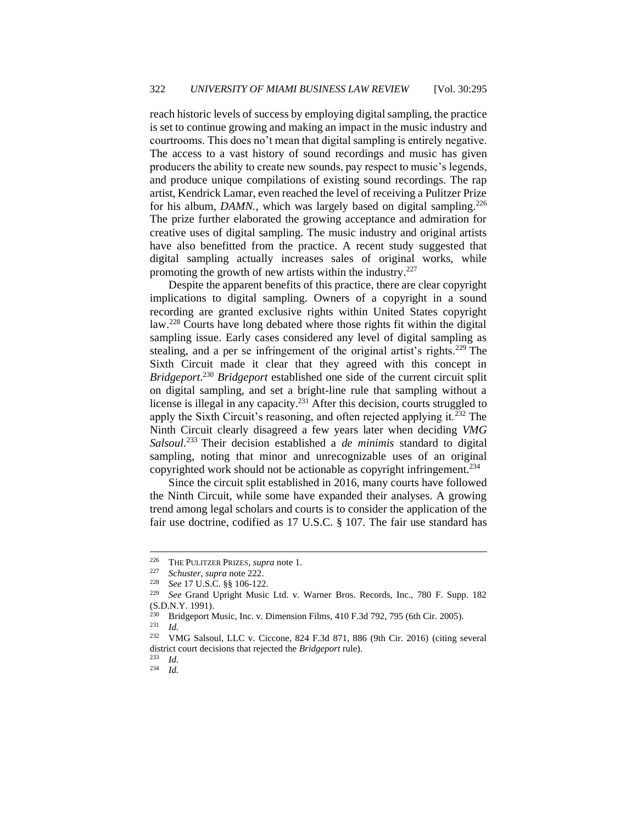reach historic levels of success by employing digital sampling, the practice is set to continue growing and making an impact in the music industry and courtrooms. This does no't mean that digital sampling is entirely negative. The access to a vast history of sound recordings and music has given producers the ability to create new sounds, pay respect to music's legends, and produce unique compilations of existing sound recordings. The rap artist, Kendrick Lamar, even reached the level of receiving a Pulitzer Prize for his album, *DAMN*., which was largely based on digital sampling.<sup>226</sup> The prize further elaborated the growing acceptance and admiration for creative uses of digital sampling. The music industry and original artists have also benefitted from the practice. A recent study suggested that digital sampling actually increases sales of original works, while promoting the growth of new artists within the industry.<sup>227</sup>

Despite the apparent benefits of this practice, there are clear copyright implications to digital sampling. Owners of a copyright in a sound recording are granted exclusive rights within United States copyright law.<sup>228</sup> Courts have long debated where those rights fit within the digital sampling issue. Early cases considered any level of digital sampling as stealing, and a per se infringement of the original artist's rights.<sup>229</sup> The Sixth Circuit made it clear that they agreed with this concept in *Bridgeport*. <sup>230</sup> *Bridgeport* established one side of the current circuit split on digital sampling, and set a bright-line rule that sampling without a license is illegal in any capacity.<sup>231</sup> After this decision, courts struggled to apply the Sixth Circuit's reasoning, and often rejected applying it.<sup>232</sup> The Ninth Circuit clearly disagreed a few years later when deciding *VMG Salsoul*. <sup>233</sup> Their decision established a *de minimis* standard to digital sampling, noting that minor and unrecognizable uses of an original copyrighted work should not be actionable as copyright infringement.<sup>234</sup>

Since the circuit split established in 2016, many courts have followed the Ninth Circuit, while some have expanded their analyses. A growing trend among legal scholars and courts is to consider the application of the fair use doctrine, codified as 17 U.S.C. § 107. The fair use standard has

 $\frac{231}{232}$  *Id.* 

<sup>&</sup>lt;sup>226</sup> THE PULITZER PRIZES, *supra* note 1.<br><sup>227</sup> Sebustar supra pote 222

<sup>227</sup> *Schuster*, *supra* note 222.

<sup>228</sup> *See* 17 U.S.C. §§ 106-122.

<sup>229</sup> *See* Grand Upright Music Ltd. v. Warner Bros. Records, Inc., 780 F. Supp. 182 (S.D.N.Y. 1991).

<sup>&</sup>lt;sup>230</sup> Bridgeport Music, Inc. v. Dimension Films, 410 F.3d 792, 795 (6th Cir. 2005).

<sup>232</sup> VMG Salsoul, LLC v. Ciccone, 824 F.3d 871, 886 (9th Cir. 2016) (citing several district court decisions that rejected the *Bridgeport* rule).

 $\frac{233}{234}$  *Id.* 

<sup>234</sup> *Id.*